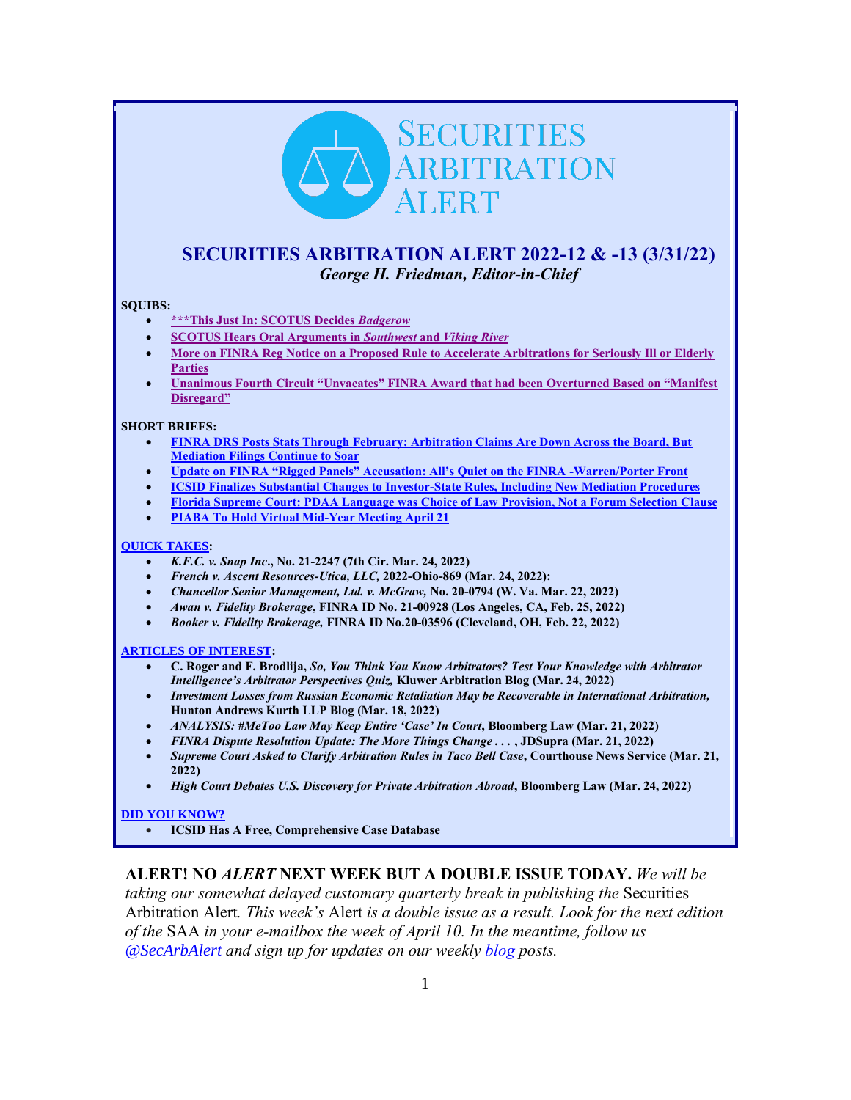# **SECURITIES ARBITRATION** ALERT

## <span id="page-0-0"></span>**SECURITIES ARBITRATION ALERT 2022-12 & -13 (3/31/22)** *George H. Friedman, Editor-in-Chief*

#### **SQUIBS:**

- **[\\*\\*\\*This Just In: SCOTUS Decides](#page-1-0)** *Badgerow*
- **[SCOTUS Hears Oral Arguments in](#page-3-0)** *Southwest* **and** *Viking River*
- **[More on FINRA Reg Notice on a Proposed Rule to Accelerate Arbitrations for Seriously Ill or Elderly](#page-6-0)  [Parties](#page-6-0)**
- **[Unanimous Fourth Circuit "Unvacates" FINRA Award that had been Overturned Based on "Manifest](#page-8-0)  [Disregard"](#page-8-0)**

#### **SHORT BRIEFS:**

- **[FINRA DRS Posts Stats Through February: Arbitration Claims Are Down Across the Board, But](#page-9-0)  [Mediation Filings Continue to Soar](#page-9-0)**
- **[Update on FINRA "Rigged Panels" Accusation: All's Quiet on the FINRA](#page-10-0) -Warren/Porter Front**
- **[ICSID Finalizes Substantial Changes to Investor-State Rules, Including New Mediation Procedures](#page-10-1)**
- **[Florida Supreme Court: PDAA Language was Choice of Law Provision, Not a Forum Selection Clause](#page-11-0)**
- **[PIABA To Hold Virtual Mid-Year Meeting April 21](#page-12-0)**

#### **[QUICK TAKES:](#page-12-1)**

- *K.F.C. v. Snap Inc***., No. 21-2247 (7th Cir. Mar. 24, 2022)**
- *French v. Ascent Resources-Utica, LLC,* **2022-Ohio-869 (Mar. 24, 2022):**
- *Chancellor Senior Management, Ltd. v. McGraw,* **No. 20-0794 (W. Va. Mar. 22, 2022)**
- *Awan v. Fidelity Brokerage***, FINRA ID No. 21-00928 (Los Angeles, CA, Feb. 25, 2022)**
- *Booker v. Fidelity Brokerage,* **FINRA ID No.20-03596 (Cleveland, OH, Feb. 22, 2022)**

#### **[ARTICLES OF INTEREST:](#page-14-0)**

- **C. Roger and F. Brodlija,** *So, You Think You Know Arbitrators? Test Your Knowledge with Arbitrator Intelligence's Arbitrator Perspectives Quiz,* **Kluwer Arbitration Blog (Mar. 24, 2022)**
- *Investment Losses from Russian Economic Retaliation May be Recoverable in International Arbitration,*  **Hunton Andrews Kurth LLP Blog (Mar. 18, 2022)**
- *ANALYSIS: #MeToo Law May Keep Entire 'Case' In Court***, Bloomberg Law (Mar. 21, 2022)**
- *FINRA Dispute Resolution Update: The More Things Change . . .* **, JDSupra (Mar. 21, 2022)**
- *Supreme Court Asked to Clarify Arbitration Rules in Taco Bell Case***, Courthouse News Service (Mar. 21, 2022)**
- *High Court Debates U.S. Discovery for Private Arbitration Abroad***, Bloomberg Law (Mar. 24, 2022)**

#### **[DID YOU KNOW?](#page-15-0)**

• **ICSID Has A Free, Comprehensive Case Database**

## **ALERT! NO** *ALERT* **NEXT WEEK BUT A DOUBLE ISSUE TODAY.** *We will be*

*taking our somewhat delayed customary quarterly break in publishing the* Securities Arbitration Alert*. This week's* Alert *is a double issue as a result. Look for the next edition of the* SAA *in your e-mailbox the week of April 10. In the meantime, follow us [@SecArbAlert](https://twitter.com/SecArbAlert) and sign up for updates on our weekly [blog](http://www.secarbalert.com/blog) posts.*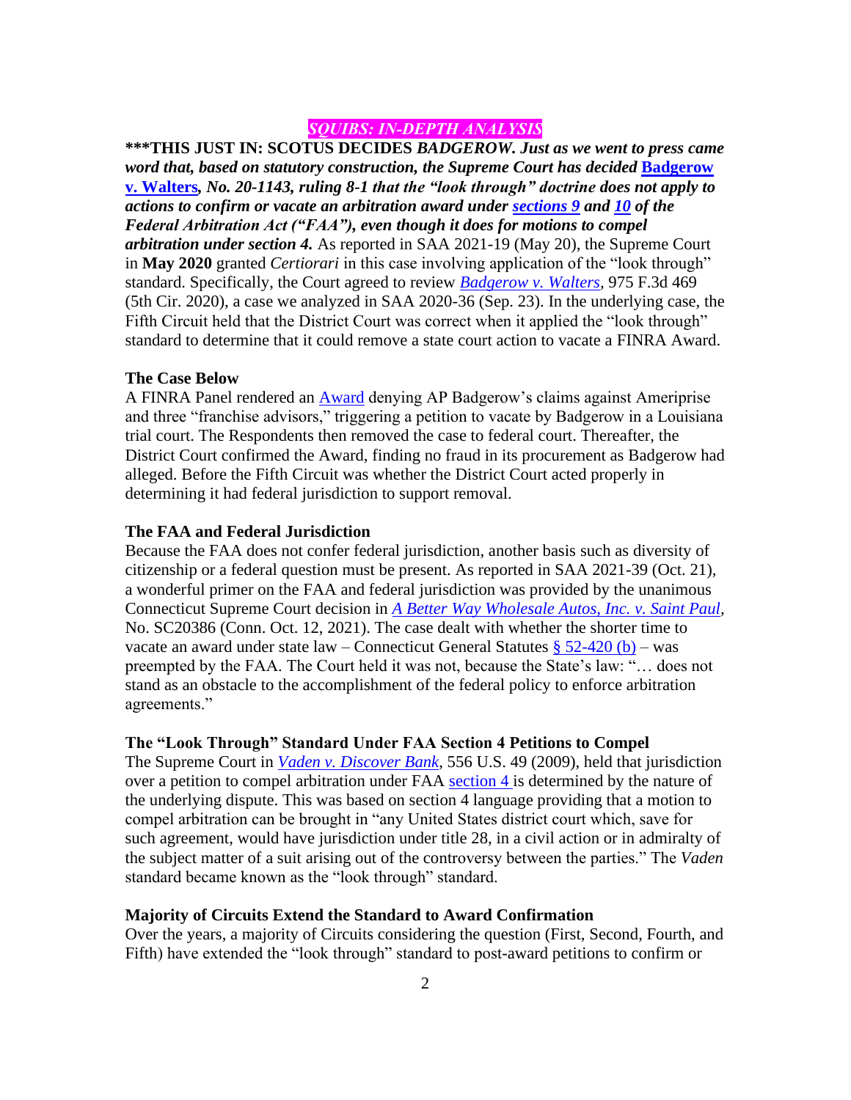#### *SQUIBS: IN-DEPTH ANALYSIS*

<span id="page-1-0"></span>**\*\*\*THIS JUST IN: SCOTUS DECIDES** *BADGEROW. Just as we went to press came word that, based on statutory construction, the Supreme Court has decided* **[Badgerow](https://www.supremecourt.gov/search.aspx?filename=/docket/docketfiles/html/public/20-1143.html)  [v. Walters](https://www.supremecourt.gov/search.aspx?filename=/docket/docketfiles/html/public/20-1143.html)***, No. 20-1143, ruling 8-1 that the "look through" doctrine does not apply to actions to confirm or vacate an arbitration award under [sections 9](https://www.law.cornell.edu/uscode/text/9/9) and [10](https://www.law.cornell.edu/uscode/text/9/10) of the Federal Arbitration Act ("FAA"), even though it does for motions to compel arbitration under section 4.* As reported in SAA 2021-19 (May 20), the Supreme Court in **May 2020** granted *Certiorari* in this case involving application of the "look through" standard. Specifically, the Court agreed to review *[Badgerow v. Walters,](https://cases.justia.com/federal/appellate-courts/ca5/19-30766/19-30766-2020-09-15.pdf?ts=1600191042)* 975 F.3d 469 (5th Cir. 2020), a case we analyzed in SAA 2020-36 (Sep. 23). In the underlying case, the Fifth Circuit held that the District Court was correct when it applied the "look through" standard to determine that it could remove a state court action to vacate a FINRA Award.

#### **The Case Below**

A FINRA Panel rendered an [Award](https://www.finra.org/sites/default/files/aao_documents/16-02759.pdf) denying AP Badgerow's claims against Ameriprise and three "franchise advisors," triggering a petition to vacate by Badgerow in a Louisiana trial court. The Respondents then removed the case to federal court. Thereafter, the District Court confirmed the Award, finding no fraud in its procurement as Badgerow had alleged. Before the Fifth Circuit was whether the District Court acted properly in determining it had federal jurisdiction to support removal.

#### **The FAA and Federal Jurisdiction**

Because the FAA does not confer federal jurisdiction, another basis such as diversity of citizenship or a federal question must be present. As reported in SAA 2021-39 (Oct. 21), a wonderful primer on the FAA and federal jurisdiction was provided by the unanimous Connecticut Supreme Court decision in *[A Better Way Wholesale Autos, Inc. v. Saint Paul,](https://cases.justia.com/connecticut/supreme-court/2021-sc20386.pdf?ts=1633536116)*  No. SC20386 (Conn. Oct. 12, 2021). The case dealt with whether the shorter time to vacate an award under state law – Connecticut General Statutes  $\S$  52-420 (b) – was preempted by the FAA. The Court held it was not, because the State's law: "… does not stand as an obstacle to the accomplishment of the federal policy to enforce arbitration agreements."

#### **The "Look Through" Standard Under FAA Section 4 Petitions to Compel**

The Supreme Court in *[Vaden v. Discover Bank](https://supreme.justia.com/cases/federal/us/556/49/)*, 556 U.S. 49 (2009), held that jurisdiction over a petition to compel arbitration under FAA [section 4](https://www.law.cornell.edu/uscode/text/9/4) is determined by the nature of the underlying dispute. This was based on section 4 language providing that a motion to compel arbitration can be brought in "any United States district court which, save for such agreement, would have jurisdiction under title 28, in a civil action or in admiralty of the subject matter of a suit arising out of the controversy between the parties." The *Vaden* standard became known as the "look through" standard.

## **Majority of Circuits Extend the Standard to Award Confirmation**

Over the years, a majority of Circuits considering the question (First, Second, Fourth, and Fifth) have extended the "look through" standard to post-award petitions to confirm or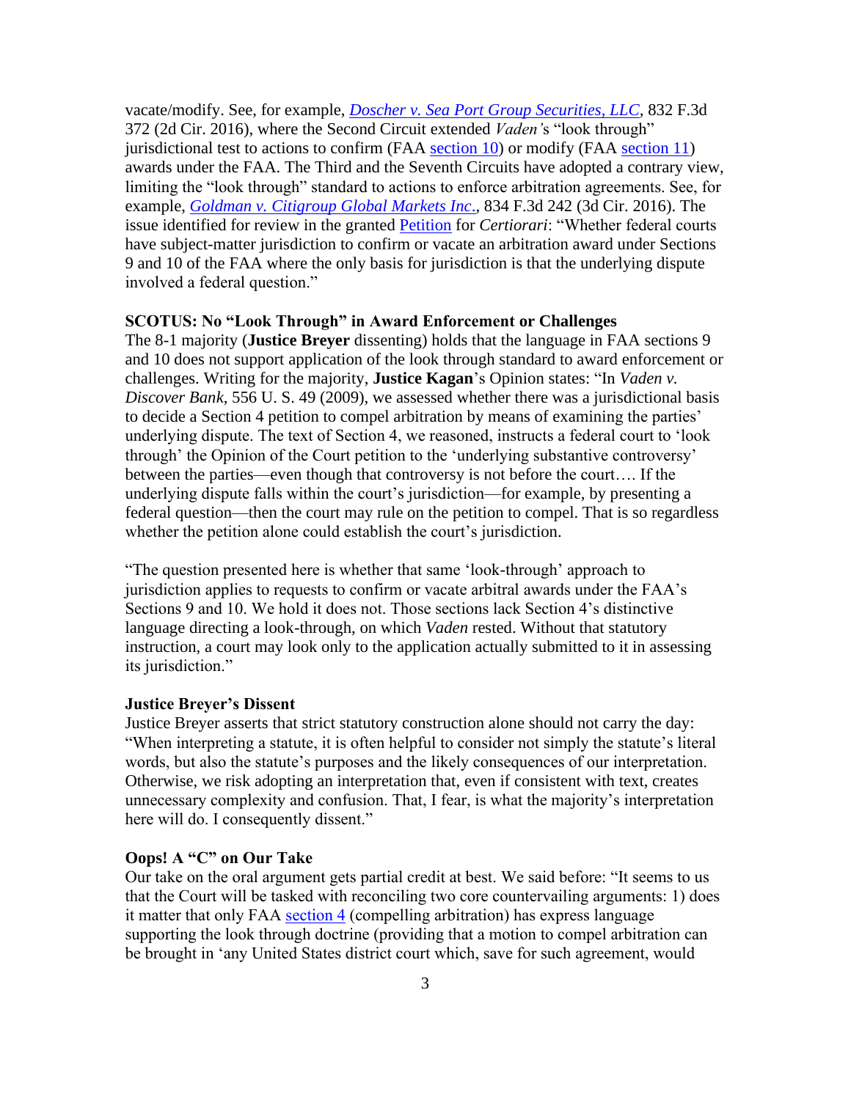vacate/modify. See, for example, *[Doscher v. Sea Port Group Securities, LLC,](https://casetext.com/case/doscher-v-sea-port-grp-sec-llc-2)* 832 F.3d 372 (2d Cir. 2016), where the Second Circuit extended *Vaden'*s "look through" jurisdictional test to actions to confirm (FAA [section 10\)](https://www.law.cornell.edu/uscode/text/9/10) or modify (FAA [section 11\)](https://www.law.cornell.edu/uscode/text/9/11) awards under the FAA. The Third and the Seventh Circuits have adopted a contrary view, limiting the "look through" standard to actions to enforce arbitration agreements. See, for example, *[Goldman v. Citigroup Global Markets Inc](https://www.leagle.com/decision/infco20160822060)*., 834 F.3d 242 (3d Cir. 2016). The issue identified for review in the granted [Petition](https://www.supremecourt.gov/DocketPDF/20/20-1143/168897/20210212125705261_badgerow%20--%20cert.%20petition%20--%20FILED.pdf) for *Certiorari*: "Whether federal courts have subject-matter jurisdiction to confirm or vacate an arbitration award under Sections 9 and 10 of the FAA where the only basis for jurisdiction is that the underlying dispute involved a federal question."

#### **SCOTUS: No "Look Through" in Award Enforcement or Challenges**

The 8-1 majority (**Justice Breyer** dissenting) holds that the language in FAA sections 9 and 10 does not support application of the look through standard to award enforcement or challenges. Writing for the majority, **Justice Kagan**'s Opinion states: "In *Vaden v. Discover Bank*, 556 U. S. 49 (2009), we assessed whether there was a jurisdictional basis to decide a Section 4 petition to compel arbitration by means of examining the parties' underlying dispute. The text of Section 4, we reasoned, instructs a federal court to 'look through' the Opinion of the Court petition to the 'underlying substantive controversy' between the parties—even though that controversy is not before the court…. If the underlying dispute falls within the court's jurisdiction—for example, by presenting a federal question—then the court may rule on the petition to compel. That is so regardless whether the petition alone could establish the court's jurisdiction.

"The question presented here is whether that same 'look-through' approach to jurisdiction applies to requests to confirm or vacate arbitral awards under the FAA's Sections 9 and 10. We hold it does not. Those sections lack Section 4's distinctive language directing a look-through, on which *Vaden* rested. Without that statutory instruction, a court may look only to the application actually submitted to it in assessing its jurisdiction."

#### **Justice Breyer's Dissent**

Justice Breyer asserts that strict statutory construction alone should not carry the day: "When interpreting a statute, it is often helpful to consider not simply the statute's literal words, but also the statute's purposes and the likely consequences of our interpretation. Otherwise, we risk adopting an interpretation that, even if consistent with text, creates unnecessary complexity and confusion. That, I fear, is what the majority's interpretation here will do. I consequently dissent."

## **Oops! A "C" on Our Take**

Our take on the oral argument gets partial credit at best. We said before: "It seems to us that the Court will be tasked with reconciling two core countervailing arguments: 1) does it matter that only FAA [section 4](https://www.law.cornell.edu/uscode/text/9/4) (compelling arbitration) has express language supporting the look through doctrine (providing that a motion to compel arbitration can be brought in 'any United States district court which, save for such agreement, would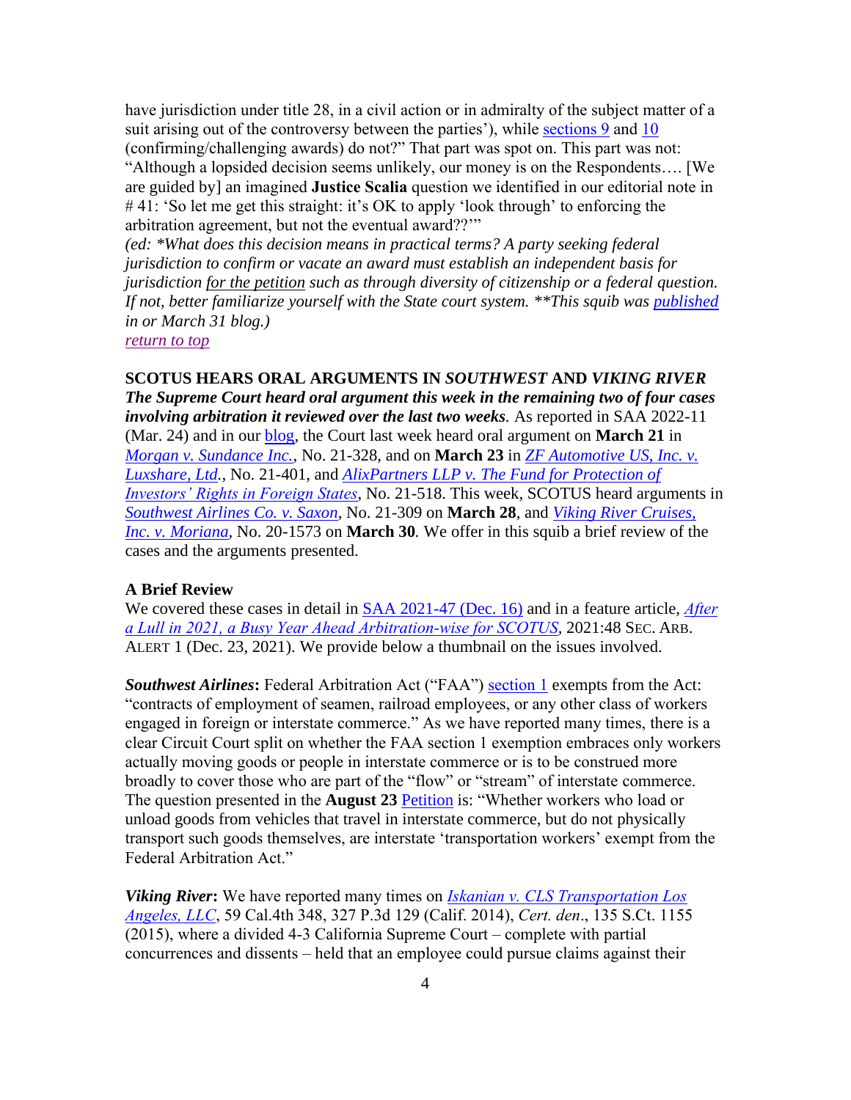have jurisdiction under title 28, in a civil action or in admiralty of the subject matter of a suit arising out of the controversy between the parties'), while [sections 9](https://www.law.cornell.edu/uscode/text/9/9) and [10](https://www.law.cornell.edu/uscode/text/9/10) (confirming/challenging awards) do not?" That part was spot on. This part was not: "Although a lopsided decision seems unlikely, our money is on the Respondents…. [We are guided by] an imagined **Justice Scalia** question we identified in our editorial note in #41: 'So let me get this straight: it's OK to apply 'look through' to enforcing the arbitration agreement, but not the eventual award??'"

*(ed: \*What does this decision means in practical terms? A party seeking federal jurisdiction to confirm or vacate an award must establish an independent basis for jurisdiction for the petition such as through diversity of citizenship or a federal question. If not, better familiarize yourself with the State court system. \*\*This squib was [published](https://www.secarbalert.com/blog/this-just-in-scotus-decides-badgerow/) in or March 31 blog.)*

*[return to top](#page-0-0)*

## <span id="page-3-0"></span>**SCOTUS HEARS ORAL ARGUMENTS IN** *SOUTHWEST* **AND** *VIKING RIVER*

*The Supreme Court heard oral argument this week in the remaining two of four cases involving arbitration it reviewed over the last two weeks.* As reported in SAA 2022-11 (Mar. 24) and in our [blog,](https://www.secarbalert.com/blog/scotus-hears-oral-arguments-in-morgan-and-zf-auto-two-more-to-go/) the Court last week heard oral argument on **March 21** in *[Morgan v. Sundance Inc.](https://www.supremecourt.gov/docket/docketfiles/html/public/21-328.html)*, No. 21-328, and on **March 23** in *[ZF Automotive US, Inc. v.](https://www.supremecourt.gov/search.aspx?filename=/docket/docketfiles/html/public/21-401.html)  [Luxshare, Ltd.](https://www.supremecourt.gov/search.aspx?filename=/docket/docketfiles/html/public/21-401.html),* No. 21-401, and *[AlixPartners LLP v. The Fund for Protection of](https://www.supremecourt.gov/docket/docketfiles/html/public/21-518.html)  [Investors' Rights in Foreign States](https://www.supremecourt.gov/docket/docketfiles/html/public/21-518.html)*, No. 21-518. This week, SCOTUS heard arguments in *[Southwest Airlines Co. v. Saxon,](https://www.supremecourt.gov/search.aspx?filename=/docket/docketfiles/html/public/21-309.html)* No. 21-309 on **March 28**, and *[Viking River Cruises,](https://www.supremecourt.gov/docket/docketfiles/html/public/20-1573.html)  [Inc. v. Moriana,](https://www.supremecourt.gov/docket/docketfiles/html/public/20-1573.html)* No. 20-1573 on **March 30***.* We offer in this squib a brief review of the cases and the arguments presented.

#### **A Brief Review**

We covered these cases in detail in [SAA 2021-47 \(Dec. 16\)](https://secarbalert.com/wp-content/uploads/2021/12/SAA-2021-47-Dec.-16-FINAL.pdf) and in a feature article, *[After](https://www.secarbalert.com/blog/after-a-lull-in-2021-a-busy-year-ahead-arbitration-wise-for-scotus/)  [a Lull in 2021, a Busy Year Ahead Arbitration-wise for SCOTUS](https://www.secarbalert.com/blog/after-a-lull-in-2021-a-busy-year-ahead-arbitration-wise-for-scotus/),* 2021:48 SEC. ARB. ALERT 1 (Dec. 23, 2021). We provide below a thumbnail on the issues involved.

**Southwest Airlines:** Federal Arbitration Act ("FAA") [section 1](https://www.law.cornell.edu/uscode/text/9/1) exempts from the Act: "contracts of employment of seamen, railroad employees, or any other class of workers engaged in foreign or interstate commerce." As we have reported many times, there is a clear Circuit Court split on whether the FAA section 1 exemption embraces only workers actually moving goods or people in interstate commerce or is to be construed more broadly to cover those who are part of the "flow" or "stream" of interstate commerce. The question presented in the **August 23** [Petition](https://www.supremecourt.gov/DocketPDF/21/21-309/188764/20210827152547454_Southwest%20Airline%20Co%20v%20Saxon%20Petition.pdf) is: "Whether workers who load or unload goods from vehicles that travel in interstate commerce, but do not physically transport such goods themselves, are interstate 'transportation workers' exempt from the Federal Arbitration Act."

*Viking River***:** We have reported many times on *[Iskanian v. CLS Transportation Los](http://www.courts.ca.gov/opinions/archive/S204032A.PDF)  [Angeles, LLC](http://www.courts.ca.gov/opinions/archive/S204032A.PDF)*, 59 Cal.4th 348, 327 P.3d 129 (Calif. 2014), *Cert. den*., 135 S.Ct. 1155 (2015), where a divided 4-3 California Supreme Court – complete with partial concurrences and dissents – held that an employee could pursue claims against their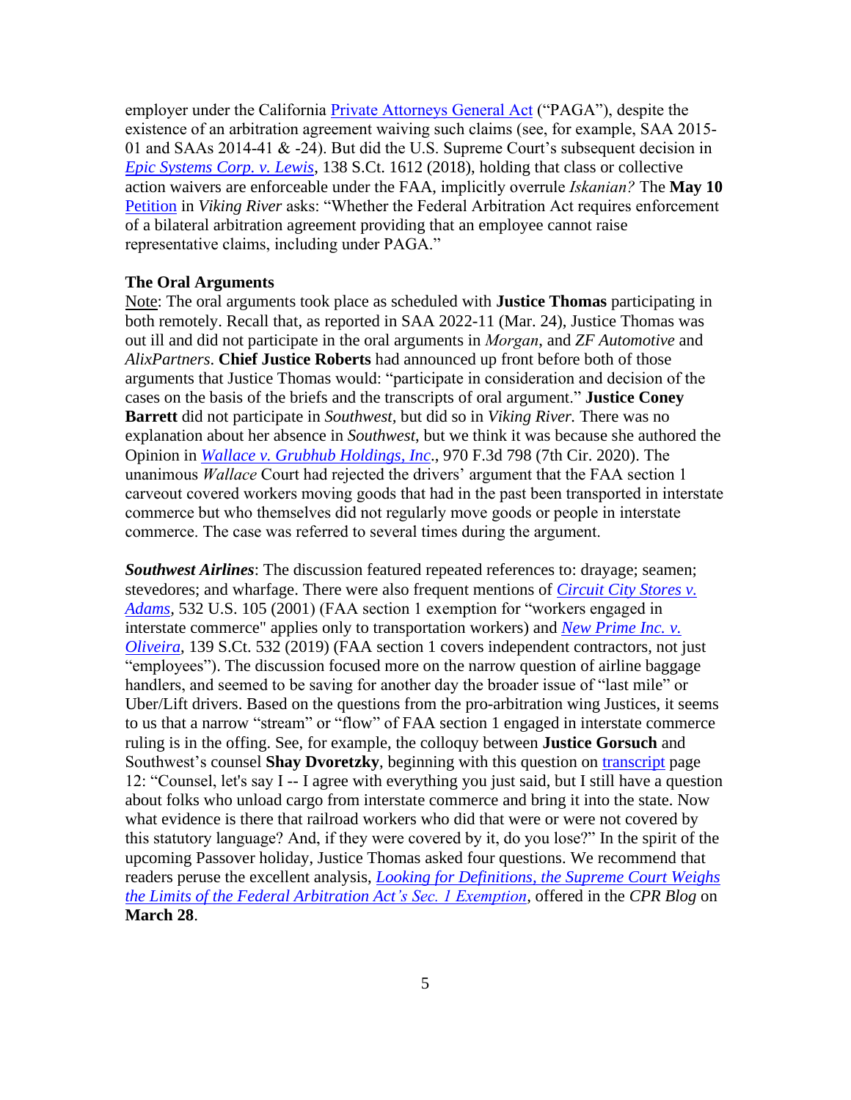employer under the California [Private Attorneys General Act](http://leginfo.legislature.ca.gov/faces/codes_displayText.xhtml?lawCode=LAB&division=2.&title=&part=13.&chapter=&article=) ("PAGA"), despite the existence of an arbitration agreement waiving such claims (see, for example, SAA 2015- 01 and SAAs 2014-41 & -24). But did the U.S. Supreme Court's subsequent decision in *[Epic Systems Corp. v. Lewis](https://www.supremecourt.gov/opinions/17pdf/16-285_q8l1.pdf)*, 138 S.Ct. 1612 (2018), holding that class or collective action waivers are enforceable under the FAA, implicitly overrule *Iskanian?* The **May 10** [Petition](https://www.supremecourt.gov/DocketPDF/20/20-1573/178703/20210510123129707_2021-05-10%20Viking%20Petition%20Final.pdf) in *Viking River* asks: "Whether the Federal Arbitration Act requires enforcement of a bilateral arbitration agreement providing that an employee cannot raise representative claims, including under PAGA."

#### **The Oral Arguments**

Note: The oral arguments took place as scheduled with **Justice Thomas** participating in both remotely. Recall that, as reported in SAA 2022-11 (Mar. 24), Justice Thomas was out ill and did not participate in the oral arguments in *Morgan*, and *ZF Automotive* and *AlixPartners*. **Chief Justice Roberts** had announced up front before both of those arguments that Justice Thomas would: "participate in consideration and decision of the cases on the basis of the briefs and the transcripts of oral argument." **Justice Coney Barrett** did not participate in *Southwest,* but did so in *Viking River.* There was no explanation about her absence in *Southwest*, but we think it was because she authored the Opinion in *[Wallace v. Grubhub Holdings, Inc](http://media.ca7.uscourts.gov/cgi-bin/rssExec.pl?Submit=Display&Path=Y2020/D08-04/C:19-1564:J:Barrett:aut:T:fnOp:N:2558401:S:0)*., 970 F.3d 798 (7th Cir. 2020). The unanimous *Wallace* Court had rejected the drivers' argument that the FAA section 1 carveout covered workers moving goods that had in the past been transported in interstate commerce but who themselves did not regularly move goods or people in interstate commerce. The case was referred to several times during the argument.

*Southwest Airlines*: The discussion featured repeated references to: drayage; seamen; stevedores; and wharfage. There were also frequent mentions of *[Circuit City Stores v.](http://www.law.cornell.edu/supct/html/99-1379.ZO.html)  [Adams,](http://www.law.cornell.edu/supct/html/99-1379.ZO.html)* 532 U.S. 105 (2001) (FAA section 1 exemption for "workers engaged in interstate commerce" applies only to transportation workers) and *[New Prime Inc. v.](https://www.law.cornell.edu/supremecourt/text/17-340)  [Oliveira](https://www.law.cornell.edu/supremecourt/text/17-340)*, 139 S.Ct. 532 (2019) (FAA section 1 covers independent contractors, not just "employees"). The discussion focused more on the narrow question of airline baggage handlers, and seemed to be saving for another day the broader issue of "last mile" or Uber/Lift drivers. Based on the questions from the pro-arbitration wing Justices, it seems to us that a narrow "stream" or "flow" of FAA section 1 engaged in interstate commerce ruling is in the offing. See, for example, the colloquy between **Justice Gorsuch** and Southwest's counsel **Shay Dvoretzky**, beginning with this question on [transcript](https://www.supremecourt.gov/oral_arguments/argument_transcripts/2021/21-309_0pl1.pdf) page 12: "Counsel, let's say I -- I agree with everything you just said, but I still have a question about folks who unload cargo from interstate commerce and bring it into the state. Now what evidence is there that railroad workers who did that were or were not covered by this statutory language? And, if they were covered by it, do you lose?" In the spirit of the upcoming Passover holiday, Justice Thomas asked four questions. We recommend that readers peruse the excellent analysis, *[Looking for Definitions, the Supreme Court Weighs](https://blog.cpradr.org/2022/03/28/looking-for-definitions-the-supreme-court-weighs-the-limits-of-the-federal-arbitration-acts-sec-1-exemption/)  [the Limits of the Federal Arbitration Act's Sec. 1 Exemption,](https://blog.cpradr.org/2022/03/28/looking-for-definitions-the-supreme-court-weighs-the-limits-of-the-federal-arbitration-acts-sec-1-exemption/)* offered in the *CPR Blog* on **March 28**.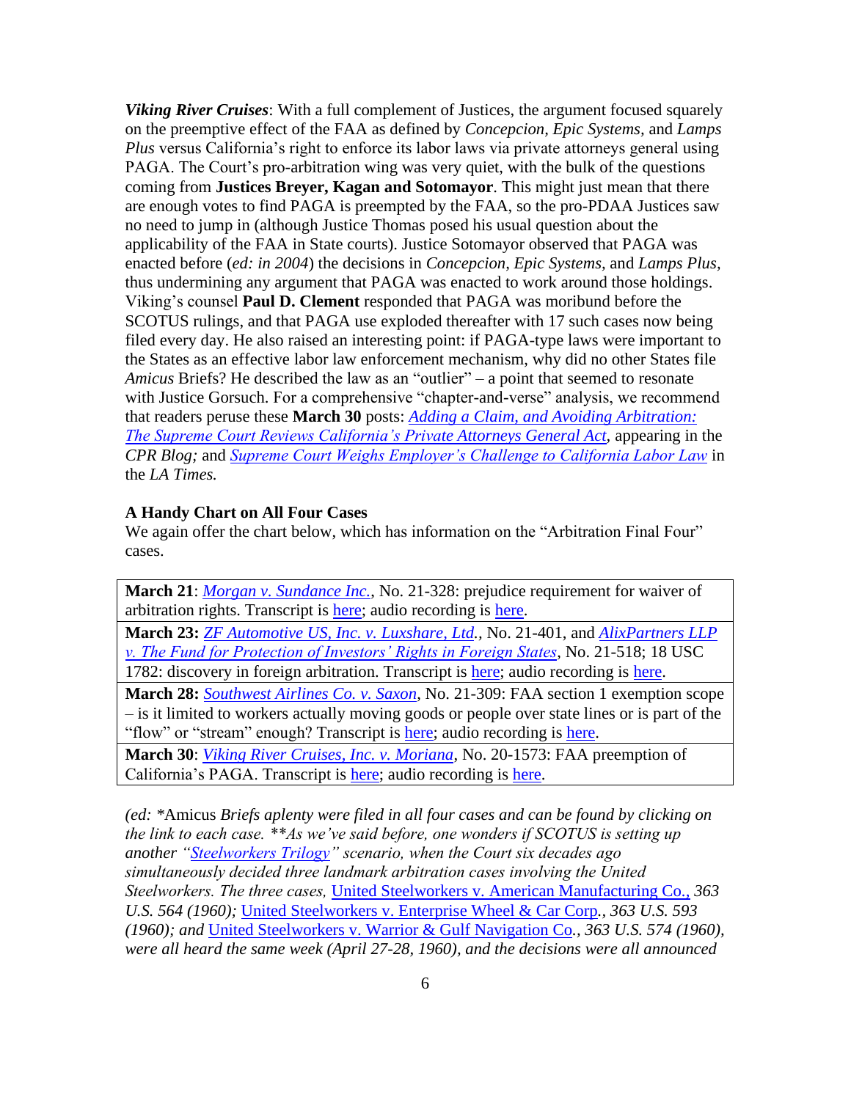*Viking River Cruises*: With a full complement of Justices, the argument focused squarely on the preemptive effect of the FAA as defined by *Concepcion, Epic Systems,* and *Lamps Plus* versus California's right to enforce its labor laws via private attorneys general using PAGA. The Court's pro-arbitration wing was very quiet, with the bulk of the questions coming from **Justices Breyer, Kagan and Sotomayor**. This might just mean that there are enough votes to find PAGA is preempted by the FAA, so the pro-PDAA Justices saw no need to jump in (although Justice Thomas posed his usual question about the applicability of the FAA in State courts). Justice Sotomayor observed that PAGA was enacted before (*ed: in 2004*) the decisions in *Concepcion, Epic Systems,* and *Lamps Plus,* thus undermining any argument that PAGA was enacted to work around those holdings. Viking's counsel **Paul D. Clement** responded that PAGA was moribund before the SCOTUS rulings, and that PAGA use exploded thereafter with 17 such cases now being filed every day. He also raised an interesting point: if PAGA-type laws were important to the States as an effective labor law enforcement mechanism, why did no other States file *Amicus* Briefs? He described the law as an "outlier" – a point that seemed to resonate with Justice Gorsuch. For a comprehensive "chapter-and-verse" analysis, we recommend that readers peruse these **March 30** posts: *[Adding a Claim, and Avoiding Arbitration:](https://blog.cpradr.org/2022/03/30/adding-a-claim-and-avoiding-arbitration-the-supreme-court-reviews-californias-private-attorneys-general-act/)  [The Supreme Court Reviews California's Private Attorneys General Act,](https://blog.cpradr.org/2022/03/30/adding-a-claim-and-avoiding-arbitration-the-supreme-court-reviews-californias-private-attorneys-general-act/)* appearing in the *CPR Blog;* and *[Supreme Court Weighs Employer's Challenge to California Labor Law](https://www.latimes.com/politics/story/2022-03-30/supreme-court-weighs-employers-challenge-to-california-labor-law)* in the *LA Times.*

#### **A Handy Chart on All Four Cases**

We again offer the chart below, which has information on the "Arbitration Final Four" cases.

**March 21**: *[Morgan v. Sundance Inc.](https://www.supremecourt.gov/docket/docketfiles/html/public/21-328.html)*, No. 21-328: prejudice requirement for waiver of arbitration rights. Transcript is [here;](https://www.supremecourt.gov/oral_arguments/argument_transcripts/2021/21-328_apl1.pdf) audio recording is [here.](https://www.supremecourt.gov/oral_arguments/audio/2021/21-328)

**March 23:** *[ZF Automotive US, Inc. v. Luxshare, Ltd.](https://www.supremecourt.gov/search.aspx?filename=/docket/docketfiles/html/public/21-401.html),* No. 21-401, and *[AlixPartners LLP](https://www.supremecourt.gov/docket/docketfiles/html/public/21-518.html)  [v. The Fund for Protection of Investors' Rights in Foreign States](https://www.supremecourt.gov/docket/docketfiles/html/public/21-518.html)*, No. 21-518; 18 USC 1782: discovery in foreign arbitration. Transcript is [here;](https://www.supremecourt.gov/oral_arguments/argument_transcripts/2021/21-401_k53m.pdf) audio recording is [here.](https://www.supremecourt.gov/oral_arguments/audio/2021/21-401)

**March 28:** *[Southwest Airlines Co. v. Saxon](https://www.supremecourt.gov/search.aspx?filename=/docket/docketfiles/html/public/21-309.html)*, No. 21-309: FAA section 1 exemption scope – is it limited to workers actually moving goods or people over state lines or is part of the "flow" or "stream" enough? Transcript is [here;](https://www.supremecourt.gov/oral_arguments/argument_transcripts/2021/21-309_0pl1.pdf) audio recording is [here.](https://www.supremecourt.gov/oral_arguments/audio/2021/21-309)

**March 30**: *[Viking River Cruises, Inc. v. Moriana](https://www.supremecourt.gov/docket/docketfiles/html/public/20-1573.html)*, No. 20-1573: FAA preemption of California's PAGA. Transcript is [here;](https://www.supremecourt.gov/oral_arguments/argument_transcripts/2021/20-1573_3204.pdf) audio recording is [here.](https://www.supremecourt.gov/oral_arguments/audio/2021/20-1573)

*(ed: \**Amicus *Briefs aplenty were filed in all four cases and can be found by clicking on the link to each case. \*\*As we've said before, one wonders if SCOTUS is setting up another "[Steelworkers Trilogy](https://scholarship.law.edu/cgi/viewcontent.cgi?referer=https://www.google.com/&httpsredir=1&article=3226&context=lawreview)" scenario, when the Court six decades ago simultaneously decided three landmark arbitration cases involving the United Steelworkers. The three cases,* [United Steelworkers v. American Manufacturing Co](https://supreme.justia.com/cases/federal/us/363/564/)*., 363 U.S. 564 (1960);* [United Steelworkers v. Enterprise Wheel & Car Corp](https://supreme.justia.com/cases/federal/us/363/593/)*., 363 U.S. 593 (1960); and* [United Steelworkers v. Warrior & Gulf Navigation Co](https://supreme.justia.com/cases/federal/us/363/574/)*., 363 U.S. 574 (1960), were all heard the same week (April 27-28, 1960), and the decisions were all announced*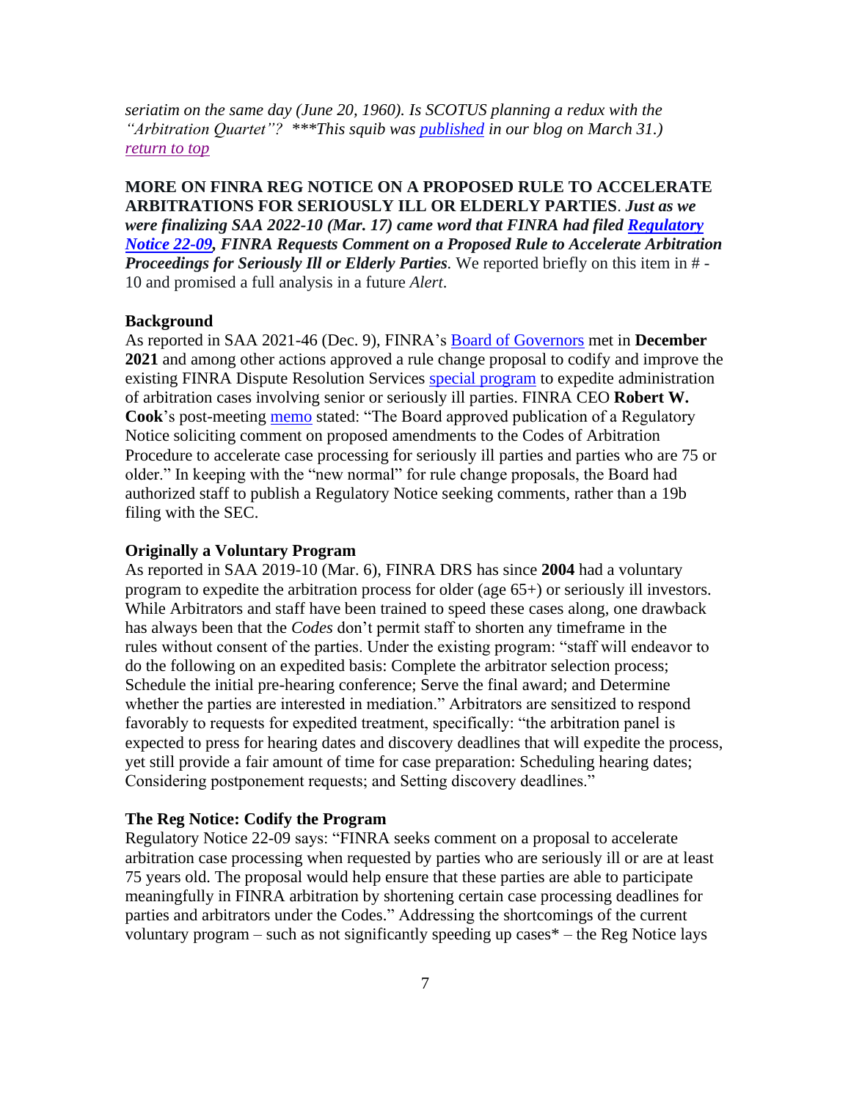*seriatim on the same day (June 20, 1960). Is SCOTUS planning a redux with the "Arbitration Quartet"? \*\*\*This squib was [published](https://www.secarbalert.com/blog/scotus-hears-oral-arguments-in-southwest-and-viking-river/) in our blog on March 31.) [return to top](#page-0-0)*

<span id="page-6-0"></span>**MORE ON FINRA REG NOTICE ON A PROPOSED RULE TO ACCELERATE ARBITRATIONS FOR SERIOUSLY ILL OR ELDERLY PARTIES**. *Just as we were finalizing SAA 2022-10 (Mar. 17) came word that FINRA had filed [Regulatory](https://www.finra.org/rules-guidance/notices/22-09)  [Notice 22-09,](https://www.finra.org/rules-guidance/notices/22-09) FINRA Requests Comment on a Proposed Rule to Accelerate Arbitration Proceedings for Seriously Ill or Elderly Parties.* We reported briefly on this item in # - 10 and promised a full analysis in a future *Alert*.

#### **Background**

As reported in SAA 2021-46 (Dec. 9), FINRA's [Board of Governors](http://www.finra.org/about/finra-board-governors) met in **December 2021** and among other actions approved a rule change proposal to codify and improve the existing FINRA Dispute Resolution Services [special program](https://www.finra.org/arbitration-mediation/expedited-proceedings-senior-or-seriously-ill-parties) to expedite administration of arbitration cases involving senior or seriously ill parties. FINRA CEO **Robert W. Cook**'s post-meeting [memo](https://www.finra.org/about/governance/finra-board-governors/meetings/update-finra-board-governors-meeting-december-2021) stated: "The Board approved publication of a Regulatory Notice soliciting comment on proposed amendments to the Codes of Arbitration Procedure to accelerate case processing for seriously ill parties and parties who are 75 or older." In keeping with the "new normal" for rule change proposals, the Board had authorized staff to publish a Regulatory Notice seeking comments, rather than a 19b filing with the SEC.

#### **Originally a Voluntary Program**

As reported in SAA 2019-10 (Mar. 6), FINRA DRS has since **2004** had a voluntary program to expedite the arbitration process for older (age 65+) or seriously ill investors. While Arbitrators and staff have been trained to speed these cases along, one drawback has always been that the *Codes* don't permit staff to shorten any timeframe in the rules without consent of the parties. Under the existing program: "staff will endeavor to do the following on an expedited basis: Complete the arbitrator selection process; Schedule the initial pre-hearing conference; Serve the final award; and Determine whether the parties are interested in mediation." Arbitrators are sensitized to respond favorably to requests for expedited treatment, specifically: "the arbitration panel is expected to press for hearing dates and discovery deadlines that will expedite the process, yet still provide a fair amount of time for case preparation: Scheduling hearing dates; Considering postponement requests; and Setting discovery deadlines."

#### **The Reg Notice: Codify the Program**

Regulatory Notice 22-09 says: "FINRA seeks comment on a proposal to accelerate arbitration case processing when requested by parties who are seriously ill or are at least 75 years old. The proposal would help ensure that these parties are able to participate meaningfully in FINRA arbitration by shortening certain case processing deadlines for parties and arbitrators under the Codes." Addressing the shortcomings of the current voluntary program – such as not significantly speeding up cases\* – the Reg Notice lays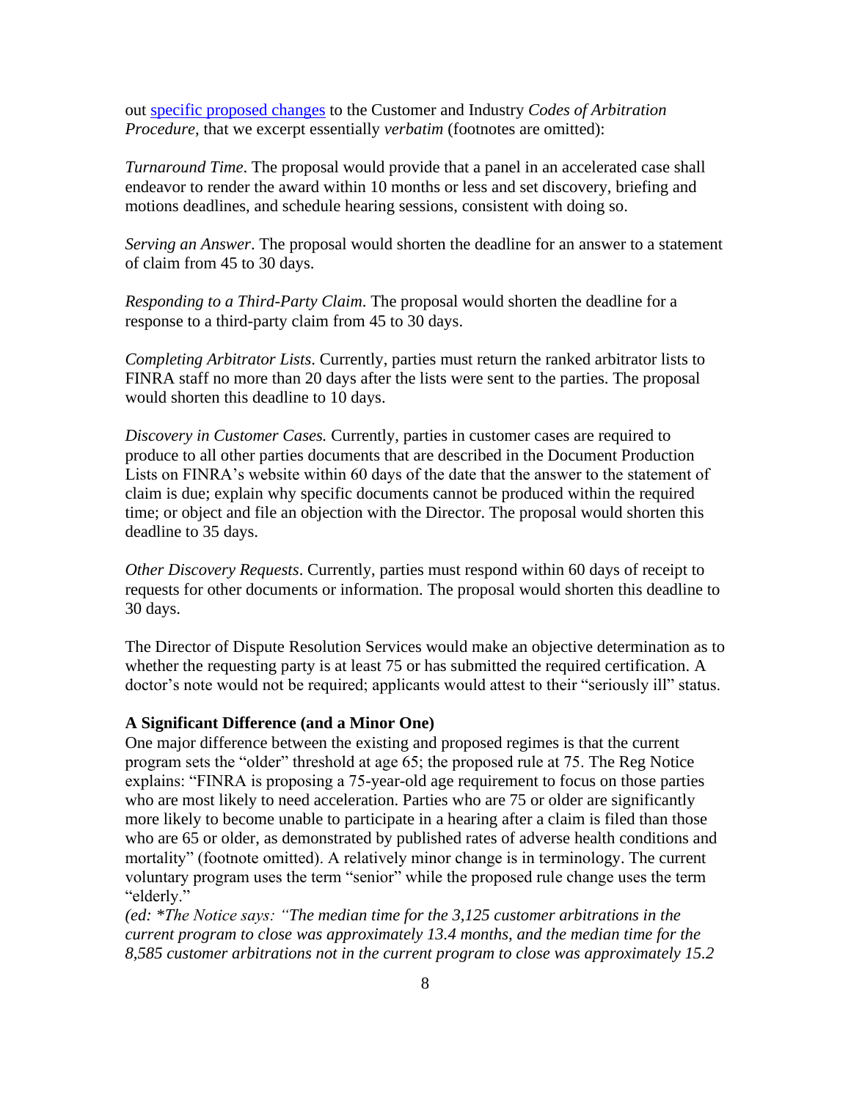out [specific proposed changes](https://www.finra.org/sites/default/files/2022-03/Attachment-A-Accelerated-Processing-of-Arbitration.pdf) to the Customer and Industry *Codes of Arbitration Procedure,* that we excerpt essentially *verbatim* (footnotes are omitted):

*Turnaround Time*. The proposal would provide that a panel in an accelerated case shall endeavor to render the award within 10 months or less and set discovery, briefing and motions deadlines, and schedule hearing sessions, consistent with doing so.

*Serving an Answer*. The proposal would shorten the deadline for an answer to a statement of claim from 45 to 30 days.

*Responding to a Third-Party Claim*. The proposal would shorten the deadline for a response to a third-party claim from 45 to 30 days.

*Completing Arbitrator Lists*. Currently, parties must return the ranked arbitrator lists to FINRA staff no more than 20 days after the lists were sent to the parties. The proposal would shorten this deadline to 10 days.

*Discovery in Customer Cases.* Currently, parties in customer cases are required to produce to all other parties documents that are described in the Document Production Lists on FINRA's website within 60 days of the date that the answer to the statement of claim is due; explain why specific documents cannot be produced within the required time; or object and file an objection with the Director. The proposal would shorten this deadline to 35 days.

*Other Discovery Requests*. Currently, parties must respond within 60 days of receipt to requests for other documents or information. The proposal would shorten this deadline to 30 days.

The Director of Dispute Resolution Services would make an objective determination as to whether the requesting party is at least 75 or has submitted the required certification. A doctor's note would not be required; applicants would attest to their "seriously ill" status.

#### **A Significant Difference (and a Minor One)**

One major difference between the existing and proposed regimes is that the current program sets the "older" threshold at age 65; the proposed rule at 75. The Reg Notice explains: "FINRA is proposing a 75-year-old age requirement to focus on those parties who are most likely to need acceleration. Parties who are 75 or older are significantly more likely to become unable to participate in a hearing after a claim is filed than those who are 65 or older, as demonstrated by published rates of adverse health conditions and mortality" (footnote omitted). A relatively minor change is in terminology. The current voluntary program uses the term "senior" while the proposed rule change uses the term "elderly."

*(ed: \*The Notice says: "The median time for the 3,125 customer arbitrations in the current program to close was approximately 13.4 months, and the median time for the 8,585 customer arbitrations not in the current program to close was approximately 15.2*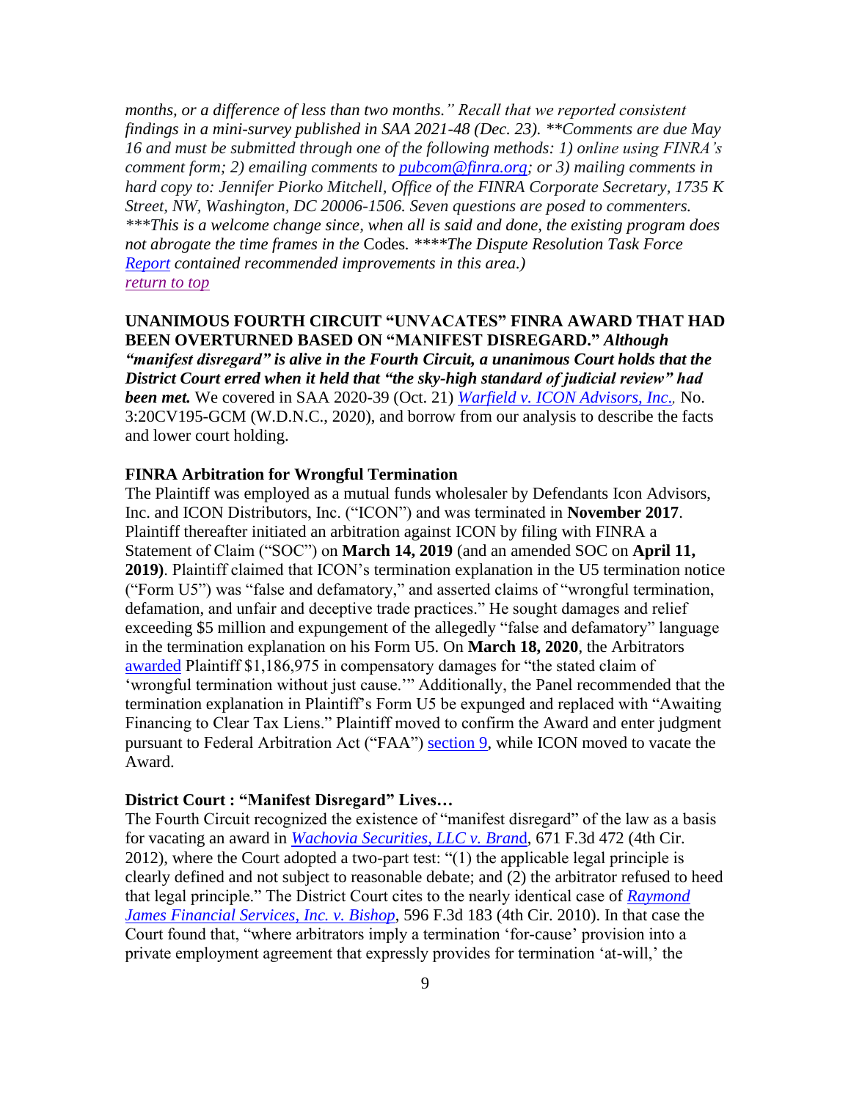months, or a difference of less than two months." Recall that we reported consistent *findings in a mini-survey published in SAA 2021-48 (Dec. 23). \*\*Comments are due May 16 and must be submitted through one of the following methods: 1) online using FINRA's comment form; 2) emailing comments to [pubcom@finra.org;](mailto:pubcom@finra.org) or 3) mailing comments in hard copy to: Jennifer Piorko Mitchell, Office of the FINRA Corporate Secretary, 1735 K Street, NW, Washington, DC 20006-1506. Seven questions are posed to commenters. \*\*\*This is a welcome change since, when all is said and done, the existing program does not abrogate the time frames in the* Codes*. \*\*\*\*The Dispute Resolution Task Force [Report](https://www.finra.org/sites/default/files/Final-DR-task-force-report.pdf) contained recommended improvements in this area.) [return to top](#page-0-0)*

## <span id="page-8-0"></span>**UNANIMOUS FOURTH CIRCUIT "UNVACATES" FINRA AWARD THAT HAD BEEN OVERTURNED BASED ON "MANIFEST DISREGARD."** *Although "manifest disregard" is alive in the Fourth Circuit, a unanimous Court holds that the District Court erred when it held that "the sky-high standard of judicial review" had been met.* We covered in SAA 2020-39 (Oct. 21) *[Warfield v. ICON Advisors, Inc](https://bakerxchange.com/collect/click.aspx?u=MVFwcnZ5U0lyaXk1V0xBb2IvZGtPb1NVeERLQnJYMXYyeVhmaWdxakEwMXNmRFkwMjMva201M3B6WW45dXA5UlFwUTZLcEtlN05nQ1FoMmZkTjE3bCsxd0RmMVBrSmhaRFRlMnpWZkoyV0ZjeE9jTXFvSGFDQT09&rh=ff0069b56a199629b8df52ae214facb029bfe454)*.*,* No. 3:20CV195-GCM (W.D.N.C., 2020), and borrow from our analysis to describe the facts and lower court holding.

## **FINRA Arbitration for Wrongful Termination**

The Plaintiff was employed as a mutual funds wholesaler by Defendants Icon Advisors, Inc. and ICON Distributors, Inc. ("ICON") and was terminated in **November 2017**. Plaintiff thereafter initiated an arbitration against ICON by filing with FINRA a Statement of Claim ("SOC") on **March 14, 2019** (and an amended SOC on **April 11, 2019)**. Plaintiff claimed that ICON's termination explanation in the U5 termination notice ("Form U5") was "false and defamatory," and asserted claims of "wrongful termination, defamation, and unfair and deceptive trade practices." He sought damages and relief exceeding \$5 million and expungement of the allegedly "false and defamatory" language in the termination explanation on his Form U5. On **March 18, 2020**, the Arbitrators [awarded](https://www.finra.org/sites/default/files/aao_documents/19-00732.pdf) Plaintiff \$1,186,975 in compensatory damages for "the stated claim of 'wrongful termination without just cause.'" Additionally, the Panel recommended that the termination explanation in Plaintiff's Form U5 be expunged and replaced with "Awaiting Financing to Clear Tax Liens." Plaintiff moved to confirm the Award and enter judgment pursuant to Federal Arbitration Act ("FAA") [section 9,](https://codes.findlaw.com/us/title-9-arbitration/9-usc-sect-9.html) while ICON moved to vacate the Award.

#### **District Court : "Manifest Disregard" Lives…**

The Fourth Circuit recognized the existence of "manifest disregard" of the law as a basis for vacating an award in *[Wachovia Securities, LLC v. Bran](https://www.leagle.com/decision/infco20120216142)*d, 671 F.3d 472 (4th Cir. 2012), where the Court adopted a two-part test: "(1) the applicable legal principle is clearly defined and not subject to reasonable debate; and (2) the arbitrator refused to heed that legal principle." The District Court cites to the nearly identical case of *[Raymond](https://www.courtlistener.com/opinion/1031657/raymond-james-financial-services-inc-v-bishop/)  [James Financial Services, Inc. v. Bishop](https://www.courtlistener.com/opinion/1031657/raymond-james-financial-services-inc-v-bishop/)*, 596 F.3d 183 (4th Cir. 2010). In that case the Court found that, "where arbitrators imply a termination 'for-cause' provision into a private employment agreement that expressly provides for termination 'at-will,' the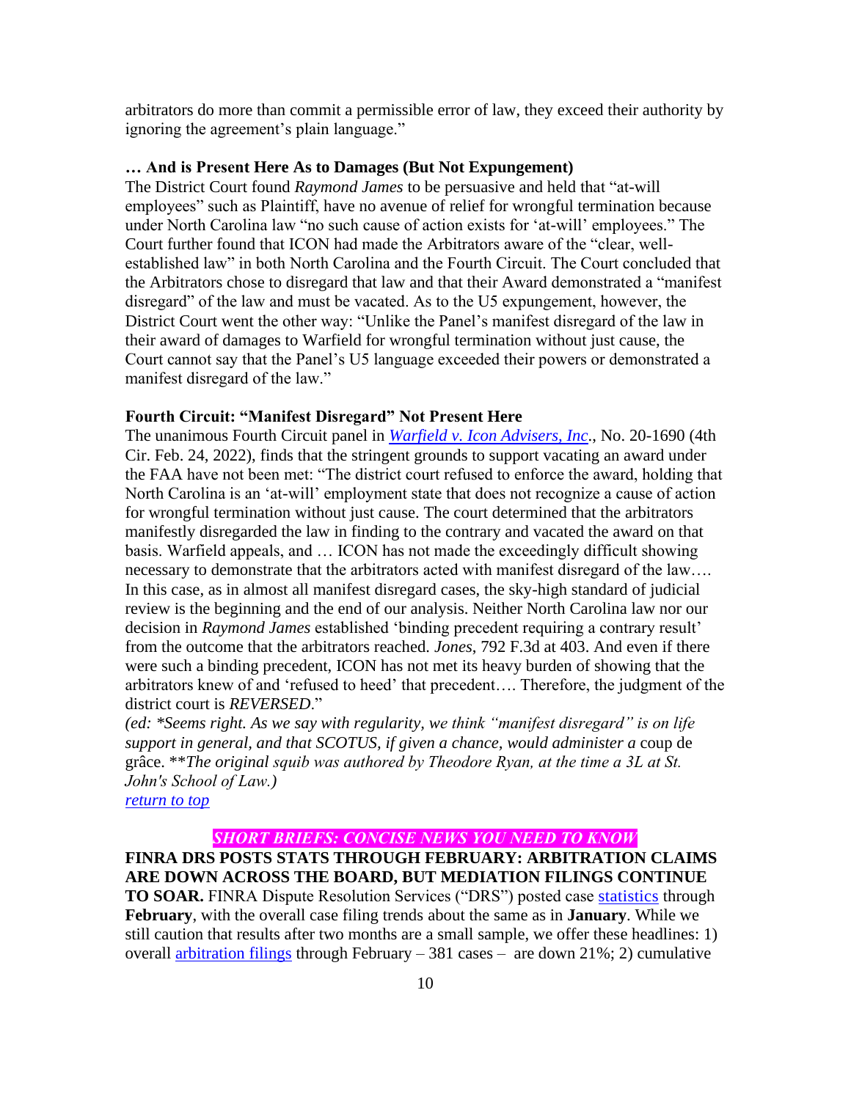arbitrators do more than commit a permissible error of law, they exceed their authority by ignoring the agreement's plain language."

#### **… And is Present Here As to Damages (But Not Expungement)**

The District Court found *Raymond James* to be persuasive and held that "at-will employees" such as Plaintiff, have no avenue of relief for wrongful termination because under North Carolina law "no such cause of action exists for 'at-will' employees." The Court further found that ICON had made the Arbitrators aware of the "clear, wellestablished law" in both North Carolina and the Fourth Circuit. The Court concluded that the Arbitrators chose to disregard that law and that their Award demonstrated a "manifest disregard" of the law and must be vacated. As to the U5 expungement, however, the District Court went the other way: "Unlike the Panel's manifest disregard of the law in their award of damages to Warfield for wrongful termination without just cause, the Court cannot say that the Panel's U5 language exceeded their powers or demonstrated a manifest disregard of the law."

#### **Fourth Circuit: "Manifest Disregard" Not Present Here**

The unanimous Fourth Circuit panel in *Warfield v. Icon [Advisers,](https://fingfx.thomsonreuters.com/gfx/legaldocs/dwvkrldaypm/EMPLOYMENT_ARBITRATION_ATWILL_decision.pdf) Inc*., No. 20-1690 (4th Cir. Feb. 24, 2022), finds that the stringent grounds to support vacating an award under the FAA have not been met: "The district court refused to enforce the award, holding that North Carolina is an 'at-will' employment state that does not recognize a cause of action for wrongful termination without just cause. The court determined that the arbitrators manifestly disregarded the law in finding to the contrary and vacated the award on that basis. Warfield appeals, and … ICON has not made the exceedingly difficult showing necessary to demonstrate that the arbitrators acted with manifest disregard of the law…. In this case, as in almost all manifest disregard cases, the sky-high standard of judicial review is the beginning and the end of our analysis. Neither North Carolina law nor our decision in *Raymond James* established 'binding precedent requiring a contrary result' from the outcome that the arbitrators reached. *Jones*, 792 F.3d at 403. And even if there were such a binding precedent, ICON has not met its heavy burden of showing that the arbitrators knew of and 'refused to heed' that precedent…. Therefore, the judgment of the district court is *REVERSED*."

*(ed: \*Seems right. As we say with regularity, we think "manifest disregard" is on life support in general, and that SCOTUS, if given a chance, would administer a* coup de grâce. \*\**The original squib was authored by Theodore Ryan, at the time a 3L at St. John's School of Law.)*

*[return to top](#page-0-0)*

#### *SHORT BRIEFS: CONCISE NEWS YOU NEED TO KNOW*

<span id="page-9-0"></span>**FINRA DRS POSTS STATS THROUGH FEBRUARY: ARBITRATION CLAIMS ARE DOWN ACROSS THE BOARD, BUT MEDIATION FILINGS CONTINUE TO SOAR.** FINRA Dispute Resolution Services ("DRS") posted case [statistics](http://www.finra.org/arbitration-and-mediation/dispute-resolution-statistics) through **February**, with the overall case filing trends about the same as in **January**. While we

still caution that results after two months are a small sample, we offer these headlines: 1) overall [arbitration filings](https://www.finra.org/arbitration-mediation/dispute-resolution-statistics#arbitrationstats) through February  $-381$  cases  $-$  are down 21%; 2) cumulative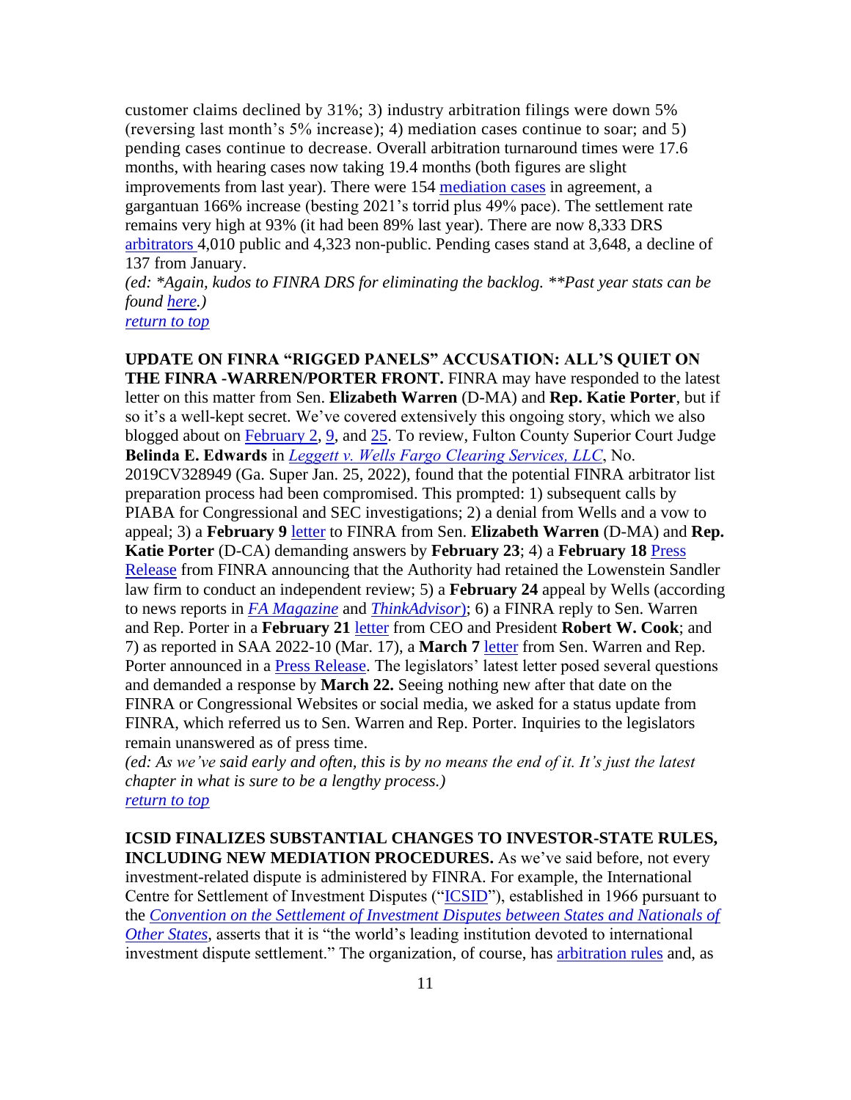customer claims declined by 31%; 3) industry arbitration filings were down 5% (reversing last month's 5% increase); 4) mediation cases continue to soar; and 5) pending cases continue to decrease. Overall arbitration turnaround times were 17.6 months, with hearing cases now taking 19.4 months (both figures are slight improvements from last year). There were 154 [mediation cases](https://www.finra.org/arbitration-and-mediation/dispute-resolution-statistics#mediationstats) in agreement, a gargantuan 166% increase (besting 2021's torrid plus 49% pace). The settlement rate remains very high at 93% (it had been 89% last year). There are now 8,333 DRS [arbitrators](https://www.finra.org/arbitration-and-mediation/dispute-resolution-statistics#arbitratorsbytype) 4,010 public and 4,323 non-public. Pending cases stand at 3,648, a decline of 137 from January.

*(ed: \*Again, kudos to FINRA DRS for eliminating the backlog. \*\*Past year stats can be found [here.](https://www.finra.org/arbitration-mediation/previous-year-end-dispute-resolution-statistics))*

*[return to top](#page-0-0)*

<span id="page-10-0"></span>**UPDATE ON FINRA "RIGGED PANELS" ACCUSATION: ALL'S QUIET ON THE FINRA -WARREN/PORTER FRONT.** FINRA may have responded to the latest letter on this matter from Sen. **Elizabeth Warren** (D-MA) and **Rep. Katie Porter**, but if so it's a well-kept secret. We've covered extensively this ongoing story, which we also blogged about on [February 2,](https://www.secarbalert.com/blog/georgia-court-vacates-finra-award-on-several-bases-including-finra-drs-misconduct-piaba-calls-for-the-feds-to-investigate/) [9,](https://www.secarbalert.com/blog/analysis-georgia-court-vacates-finra-award-on-several-bases/) and [25.](https://www.secarbalert.com/blog/that-didnt-take-long-lawmakers-demand-answers-from-finra-on-rigged-panels-accusation-and-finra-to-conduct-independent-review) To review, Fulton County Superior Court Judge **Belinda E. Edwards** in *[Leggett v. Wells Fargo Clearing Services, LLC](https://www.finra.org/sites/default/files/aao_documents/17-01077%283%29.pdf)*, No. 2019CV328949 (Ga. Super Jan. 25, 2022), found that the potential FINRA arbitrator list preparation process had been compromised. This prompted: 1) subsequent calls by PIABA for Congressional and SEC investigations; 2) a denial from Wells and a vow to appeal; 3) a **February 9** [letter](https://www.warren.senate.gov/imo/media/doc/2022.02.09%20Letter%20to%20FINRA%20on%20Wells%20Fargo%20Scandal%20(1).pdf) to FINRA from Sen. **Elizabeth Warren** (D-MA) and **Rep. Katie Porter** (D-CA) demanding answers by **February 23**; 4) a **February 18** [Press](https://www.finra.org/media-center/newsreleases/2022/finra-hires-firm-conduct-independent-review-arbitrator-selection)  [Release](https://www.finra.org/media-center/newsreleases/2022/finra-hires-firm-conduct-independent-review-arbitrator-selection) from FINRA announcing that the Authority had retained the Lowenstein Sandler law firm to conduct an independent review; 5) a **February 24** appeal by Wells (according to news reports in *FA [Magazine](https://www.fa-mag.com/news/wells-fargo-appeals-ruling-alleging--secret--finra-abitration-agreement-66585.html)* and *[ThinkAdvisor](https://www.thinkadvisor.com/2022/02/25/wells-fargo-appeals-finra-arb-ruling-struck-down-in-court/)*); 6) a FINRA reply to Sen. Warren and Rep. Porter in a **February 21** [letter](https://www.warren.senate.gov/imo/media/doc/FINRA%20Response%20to%20Warren-Porter%20(2.21.22).pdf) from CEO and President **Robert W. Cook**; and 7) as reported in SAA 2022-10 (Mar. 17), a **March 7** [letter](https://www.warren.senate.gov/imo/media/doc/2022.03.7%20Letter%20to%20FINRA%20re%20Response%20to%20Feb%20Letter%20on%20Wells%20Fargo%20Scandal.pdf) from Sen. Warren and Rep. Porter announced in a [Press Release.](https://www.warren.senate.gov/oversight/letters/warren-porter-release-finra-response-on-troubling-allegations-of_wells-fargo-misbehavior-and-finras-arbitration-process) The legislators' latest letter posed several questions and demanded a response by **March 22.** Seeing nothing new after that date on the FINRA or Congressional Websites or social media, we asked for a status update from FINRA, which referred us to Sen. Warren and Rep. Porter. Inquiries to the legislators remain unanswered as of press time.

*(ed: As we've said early and often, this is by no means the end of it. It's just the latest chapter in what is sure to be a lengthy process.) [return to top](#page-0-0)*

<span id="page-10-1"></span>**ICSID FINALIZES SUBSTANTIAL CHANGES TO INVESTOR-STATE RULES, INCLUDING NEW MEDIATION PROCEDURES.** As we've said before, not every investment-related dispute is administered by FINRA. For example, the International Centre for Settlement of Investment Disputes (["ICSID"](https://icsid.worldbank.org/en/)), established in 1966 pursuant to the *[Convention on the Settlement of Investment Disputes between States and Nationals of](https://treaties.un.org/pages/showDetails.aspx?objid=080000028012a925)  [Other States,](https://treaties.un.org/pages/showDetails.aspx?objid=080000028012a925)* asserts that it is "the world's leading institution devoted to international investment dispute settlement." The organization, of course, has [arbitration rules](http://icsidfiles.worldbank.org/ICSID/ICSID/StaticFiles/basicdoc/partF.htm) and, as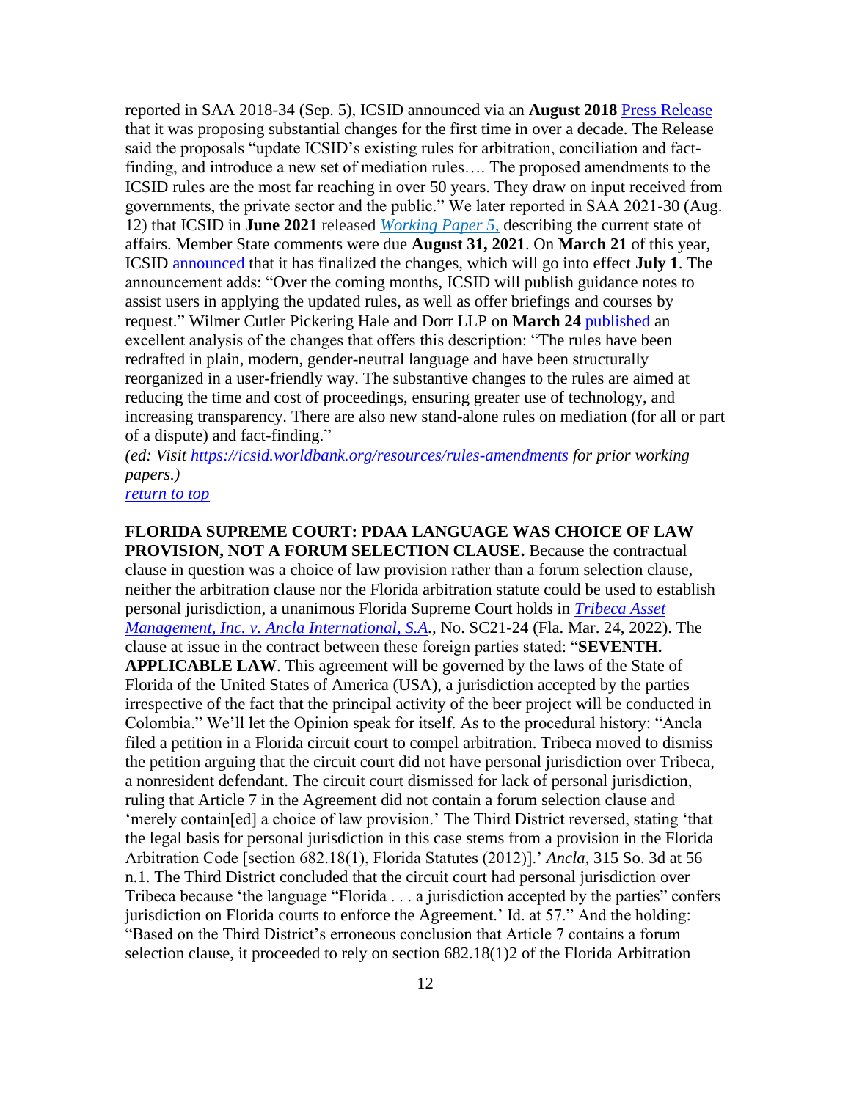reported in SAA 2018-34 (Sep. 5), ICSID announced via an **August 2018** [Press Release](https://icsid.worldbank.org/en/Pages/News.aspx?CID=286) that it was proposing substantial changes for the first time in over a decade. The Release said the proposals "update ICSID's existing rules for arbitration, conciliation and factfinding, and introduce a new set of mediation rules…. The proposed amendments to the ICSID rules are the most far reaching in over 50 years. They draw on input received from governments, the private sector and the public." We later reported in SAA 2021-30 (Aug. 12) that ICSID in **June 2021** released *[Working Paper 5,](https://icsid.worldbank.org/sites/default/files/publications/WP%205-Volume1-ENG-FINAL.pdf)* describing the current state of affairs. Member State comments were due **August 31, 2021**. On **March 21** of this year, ICSID [announced](https://icsid.worldbank.org/news-and-events/communiques/icsid-administrative-council-approves-amendment-icsid-rules) that it has finalized the changes, which will go into effect **July 1**. The announcement adds: "Over the coming months, ICSID will publish guidance notes to assist users in applying the updated rules, as well as offer briefings and courses by request." Wilmer Cutler Pickering Hale and Dorr LLP on **March 24** [published](https://www.lexology.com/library/detail.aspx?g=ae0e0019-5e81-465f-a616-0a5165bef3a2) an excellent analysis of the changes that offers this description: "The rules have been redrafted in plain, modern, gender-neutral language and have been structurally reorganized in a user-friendly way. The substantive changes to the rules are aimed at reducing the time and cost of proceedings, ensuring greater use of technology, and increasing transparency. There are also new stand-alone rules on mediation (for all or part of a dispute) and fact-finding."

*(ed: Visit<https://icsid.worldbank.org/resources/rules-amendments> for prior working papers.)*

*[return to top](#page-0-0)*

## <span id="page-11-0"></span>**FLORIDA SUPREME COURT: PDAA LANGUAGE WAS CHOICE OF LAW PROVISION, NOT A FORUM SELECTION CLAUSE.** Because the contractual clause in question was a choice of law provision rather than a forum selection clause, neither the arbitration clause nor the Florida arbitration statute could be used to establish personal jurisdiction, a unanimous Florida Supreme Court holds in *[Tribeca Asset](https://cases.justia.com/florida/supreme-court/2022-sc21-24.pdf?ts=1648134113)  [Management, Inc. v. Ancla International, S.A.](https://cases.justia.com/florida/supreme-court/2022-sc21-24.pdf?ts=1648134113),* No. SC21-24 (Fla. Mar. 24, 2022). The clause at issue in the contract between these foreign parties stated: "**SEVENTH. APPLICABLE LAW**. This agreement will be governed by the laws of the State of Florida of the United States of America (USA), a jurisdiction accepted by the parties irrespective of the fact that the principal activity of the beer project will be conducted in Colombia." We'll let the Opinion speak for itself. As to the procedural history: "Ancla filed a petition in a Florida circuit court to compel arbitration. Tribeca moved to dismiss the petition arguing that the circuit court did not have personal jurisdiction over Tribeca, a nonresident defendant. The circuit court dismissed for lack of personal jurisdiction, ruling that Article 7 in the Agreement did not contain a forum selection clause and 'merely contain[ed] a choice of law provision.' The Third District reversed, stating 'that the legal basis for personal jurisdiction in this case stems from a provision in the Florida Arbitration Code [section 682.18(1), Florida Statutes (2012)].' *Ancla*, 315 So. 3d at 56 n.1. The Third District concluded that the circuit court had personal jurisdiction over Tribeca because 'the language "Florida . . . a jurisdiction accepted by the parties" confers jurisdiction on Florida courts to enforce the Agreement.' Id. at 57." And the holding: "Based on the Third District's erroneous conclusion that Article 7 contains a forum selection clause, it proceeded to rely on section 682.18(1)2 of the Florida Arbitration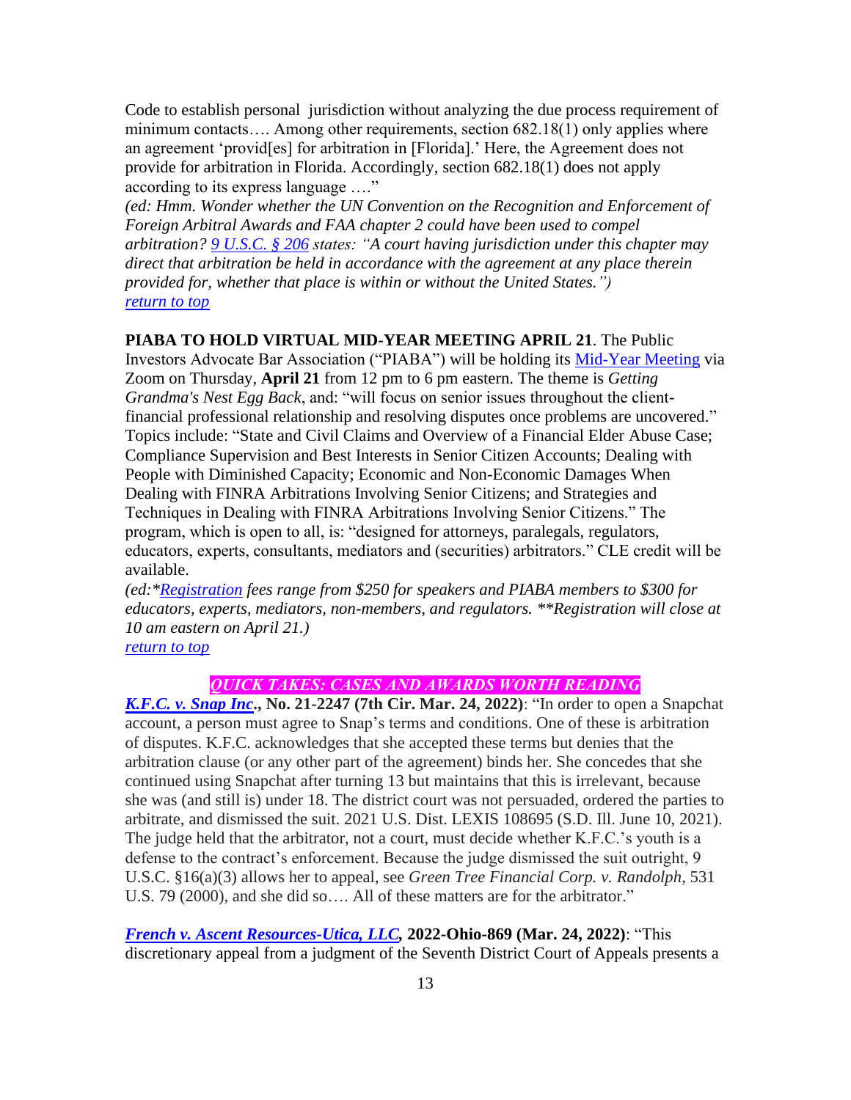Code to establish personal jurisdiction without analyzing the due process requirement of minimum contacts.... Among other requirements, section 682.18(1) only applies where an agreement 'provid[es] for arbitration in [Florida].' Here, the Agreement does not provide for arbitration in Florida. Accordingly, section 682.18(1) does not apply according to its express language …."

*(ed: Hmm. Wonder whether the UN Convention on the Recognition and Enforcement of Foreign Arbitral Awards and FAA chapter 2 could have been used to compel arbitration? [9 U.S.C. §](https://www.law.cornell.edu/uscode/text/9/206) 206 states: "A court having jurisdiction under this chapter may direct that arbitration be held in accordance with the agreement at any place therein provided for, whether that place is within or without the United States.") [return to top](#page-0-0)*

#### <span id="page-12-0"></span>**PIABA TO HOLD VIRTUAL MID-YEAR MEETING APRIL 21**. The Public

Investors Advocate Bar Association ("PIABA") will be holding its [Mid-Year Meeting](https://piaba.org/2022-piaba-mid-year-meeting) via Zoom on Thursday, **April 21** from 12 pm to 6 pm eastern. The theme is *Getting Grandma's Nest Egg Back*, and: "will focus on senior issues throughout the clientfinancial professional relationship and resolving disputes once problems are uncovered." Topics include: "State and Civil Claims and Overview of a Financial Elder Abuse Case; Compliance Supervision and Best Interests in Senior Citizen Accounts; Dealing with People with Diminished Capacity; Economic and Non-Economic Damages When Dealing with FINRA Arbitrations Involving Senior Citizens; and Strategies and Techniques in Dealing with FINRA Arbitrations Involving Senior Citizens." The program, which is open to all, is: "designed for attorneys, paralegals, regulators, educators, experts, consultants, mediators and (securities) arbitrators." CLE credit will be available.

*(ed:[\\*Registration](https://piaba.org/2022-piaba-mid-year-meeting-registration-form) fees range from \$250 for speakers and PIABA members to \$300 for educators, experts, mediators, non-members, and regulators. \*\*Registration will close at 10 am eastern on April 21.)*

*[return to top](#page-0-0)*

## *QUICK TAKES: CASES AND AWARDS WORTH READING*

<span id="page-12-1"></span>*[K.F.C. v. Snap Inc](https://cases.justia.com/federal/appellate-courts/ca7/21-2247/21-2247-2022-03-24.pdf?ts=1648144821)***., No. 21-2247 (7th Cir. Mar. 24, 2022)**: "In order to open a Snapchat account, a person must agree to Snap's terms and conditions. One of these is arbitration of disputes. K.F.C. acknowledges that she accepted these terms but denies that the arbitration clause (or any other part of the agreement) binds her. She concedes that she continued using Snapchat after turning 13 but maintains that this is irrelevant, because she was (and still is) under 18. The district court was not persuaded, ordered the parties to arbitrate, and dismissed the suit. 2021 U.S. Dist. LEXIS 108695 (S.D. Ill. June 10, 2021). The judge held that the arbitrator, not a court, must decide whether K.F.C.'s youth is a defense to the contract's enforcement. Because the judge dismissed the suit outright, 9 U.S.C. §16(a)(3) allows her to appeal, see *Green Tree Financial Corp. v. Randolph*, 531 U.S. 79 (2000), and she did so…. All of these matters are for the arbitrator."

*[French v. Ascent Resources-Utica, LLC,](https://cases.justia.com/ohio/supreme-court-of-ohio/2022-2021-0166.pdf?ts=1648127207)* **2022-Ohio-869 (Mar. 24, 2022)**: "This discretionary appeal from a judgment of the Seventh District Court of Appeals presents a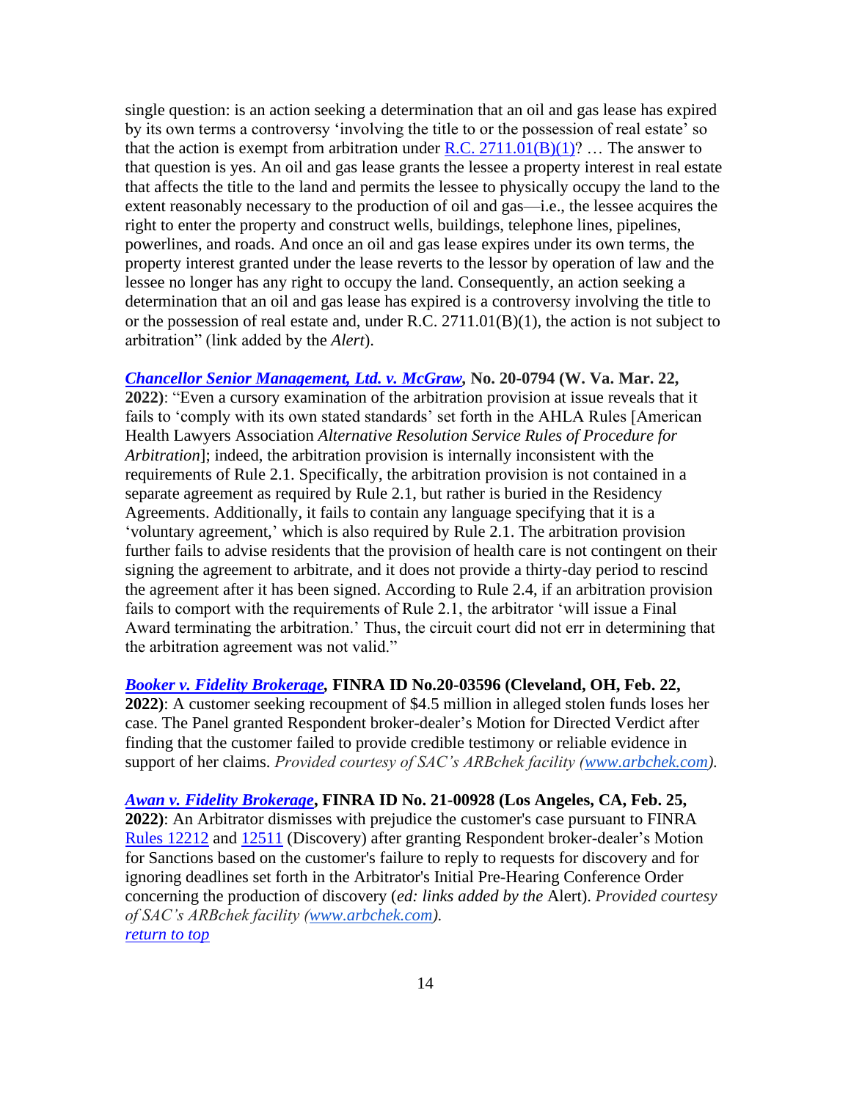single question: is an action seeking a determination that an oil and gas lease has expired by its own terms a controversy 'involving the title to or the possession of real estate' so that the action is exempt from arbitration under  $R.C. 2711.01(B)(1)$ ? ... The answer to that question is yes. An oil and gas lease grants the lessee a property interest in real estate that affects the title to the land and permits the lessee to physically occupy the land to the extent reasonably necessary to the production of oil and gas—i.e., the lessee acquires the right to enter the property and construct wells, buildings, telephone lines, pipelines, powerlines, and roads. And once an oil and gas lease expires under its own terms, the property interest granted under the lease reverts to the lessor by operation of law and the lessee no longer has any right to occupy the land. Consequently, an action seeking a determination that an oil and gas lease has expired is a controversy involving the title to or the possession of real estate and, under R.C. 2711.01(B)(1), the action is not subject to arbitration" (link added by the *Alert*).

*[Chancellor Senior Management, Ltd. v. McGraw,](https://cases.justia.com/west-virginia/supreme-court/2022-20-0794.pdf?ts=1647976180)* **No. 20-0794 (W. Va. Mar. 22, 2022)**: "Even a cursory examination of the arbitration provision at issue reveals that it fails to 'comply with its own stated standards' set forth in the AHLA Rules [American Health Lawyers Association *Alternative Resolution Service Rules of Procedure for Arbitration*]; indeed, the arbitration provision is internally inconsistent with the requirements of Rule 2.1. Specifically, the arbitration provision is not contained in a separate agreement as required by Rule 2.1, but rather is buried in the Residency Agreements. Additionally, it fails to contain any language specifying that it is a 'voluntary agreement,' which is also required by Rule 2.1. The arbitration provision further fails to advise residents that the provision of health care is not contingent on their signing the agreement to arbitrate, and it does not provide a thirty-day period to rescind the agreement after it has been signed. According to Rule 2.4, if an arbitration provision fails to comport with the requirements of Rule 2.1, the arbitrator 'will issue a Final Award terminating the arbitration.' Thus, the circuit court did not err in determining that the arbitration agreement was not valid."

*[Booker v. Fidelity Brokerage,](http://www.arbchek.com/files/pdf/20-03596.pdf)* **FINRA ID No.20-03596 (Cleveland, OH, Feb. 22, 2022)**: A customer seeking recoupment of \$4.5 million in alleged stolen funds loses her case. The Panel granted Respondent broker-dealer's Motion for Directed Verdict after finding that the customer failed to provide credible testimony or reliable evidence in support of her claims. *Provided courtesy of SAC's ARBchek facility [\(www.arbchek.com\)](http://www.arbchek.com/).*

*[Awan v. Fidelity Brokerage](http://www.arbchek.com/files/pdf/21-00928.pdf)***, FINRA ID No. 21-00928 (Los Angeles, CA, Feb. 25, 2022)**: An Arbitrator dismisses with prejudice the customer's case pursuant to FINRA [Rules 12212](https://www.finra.org/rules-guidance/rulebooks/finra-rules/12212) and [12511](https://www.finra.org/rules-guidance/rulebooks/finra-rules/12511) (Discovery) after granting Respondent broker-dealer's Motion for Sanctions based on the customer's failure to reply to requests for discovery and for ignoring deadlines set forth in the Arbitrator's Initial Pre-Hearing Conference Order concerning the production of discovery (*ed: links added by the* Alert). *Provided courtesy of SAC's ARBchek facility [\(www.arbchek.com\)](http://www.arbchek.com/). [return to top](#page-0-0)*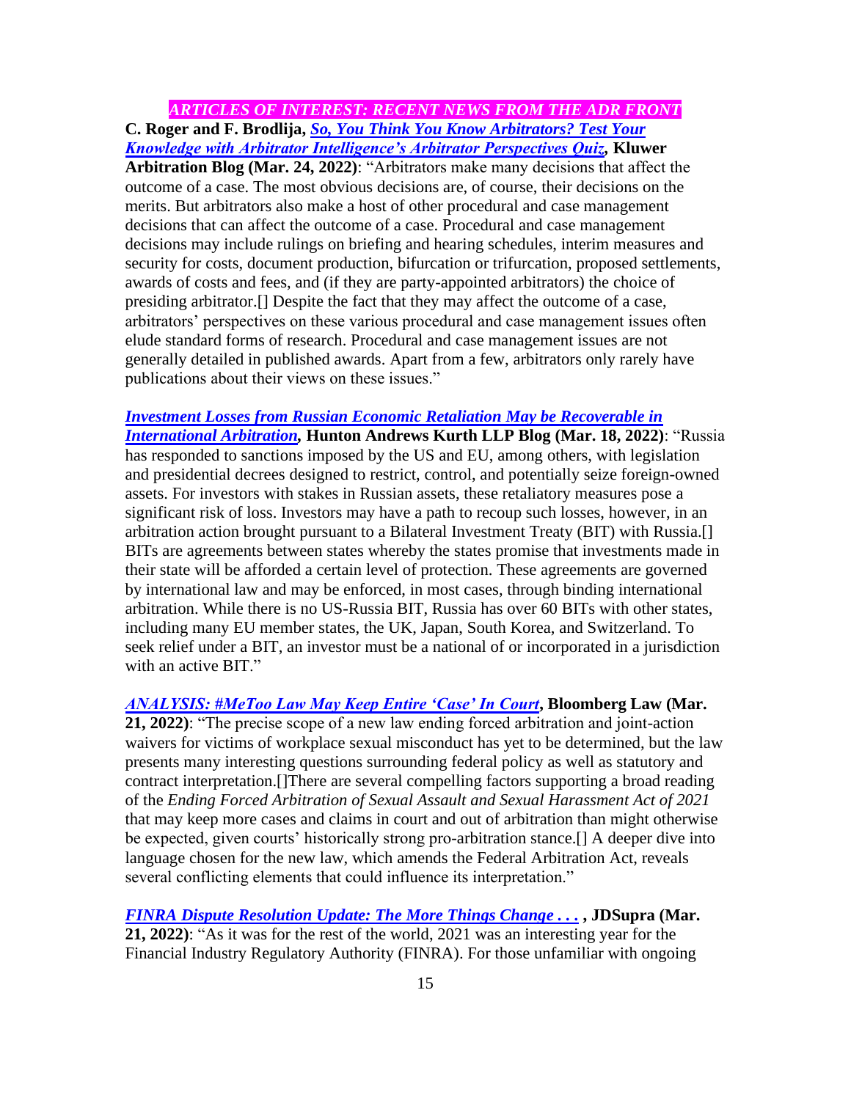<span id="page-14-0"></span>*ARTICLES OF INTEREST: RECENT NEWS FROM THE ADR FRONT* **C. Roger and F. Brodlija,** *[So, You Think You Know Arbitrators? Test Your](http://arbitrationblog.kluwerarbitration.com/2022/03/24/so-you-think-you-know-arbitrators-test-your-knowledge-with-arbitrator-intelligences-arbitrator-perspectives-quiz/)  [Knowledge with Arbitrator Intelligence's Arbitrator Perspectives Quiz,](http://arbitrationblog.kluwerarbitration.com/2022/03/24/so-you-think-you-know-arbitrators-test-your-knowledge-with-arbitrator-intelligences-arbitrator-perspectives-quiz/)* **Kluwer Arbitration Blog (Mar. 24, 2022)**: "Arbitrators make many decisions that affect the outcome of a case. The most obvious decisions are, of course, their decisions on the merits. But arbitrators also make a host of other procedural and case management decisions that can affect the outcome of a case. Procedural and case management decisions may include rulings on briefing and hearing schedules, interim measures and security for costs, document production, bifurcation or trifurcation, proposed settlements, awards of costs and fees, and (if they are party-appointed arbitrators) the choice of presiding arbitrator.[] Despite the fact that they may affect the outcome of a case, arbitrators' perspectives on these various procedural and case management issues often elude standard forms of research. Procedural and case management issues are not generally detailed in published awards. Apart from a few, arbitrators only rarely have publications about their views on these issues."

#### *[Investment Losses from Russian Economic Retaliation May be Recoverable in](https://www.huntonak.com/en/insights/Investment-losses-from-russian-economic-retaliation-may-be-recoverable-in-international-arbitration.html)*

*[International Arbitration,](https://www.huntonak.com/en/insights/Investment-losses-from-russian-economic-retaliation-may-be-recoverable-in-international-arbitration.html) Hunton Andrews Kurth LLP Blog (Mar. 18, 2022): "Russia* has responded to sanctions imposed by the US and EU, among others, with legislation and presidential decrees designed to restrict, control, and potentially seize foreign-owned assets. For investors with stakes in Russian assets, these retaliatory measures pose a significant risk of loss. Investors may have a path to recoup such losses, however, in an arbitration action brought pursuant to a Bilateral Investment Treaty (BIT) with Russia.[] BITs are agreements between states whereby the states promise that investments made in their state will be afforded a certain level of protection. These agreements are governed by international law and may be enforced, in most cases, through binding international arbitration. While there is no US-Russia BIT, Russia has over 60 BITs with other states, including many EU member states, the UK, Japan, South Korea, and Switzerland. To seek relief under a BIT, an investor must be a national of or incorporated in a jurisdiction with an active BIT."

*[ANALYSIS: #MeToo Law May Keep Entire 'Case' In Court](https://news.bloomberglaw.com/bloomberg-law-analysis/analysis-metoo-law-may-keep-entire-case-in-court)***, Bloomberg Law (Mar.** 

**21, 2022)**: "The precise scope of a new law ending forced arbitration and joint-action waivers for victims of workplace sexual misconduct has yet to be determined, but the law presents many interesting questions surrounding federal policy as well as statutory and contract interpretation.[]There are several compelling factors supporting a broad reading of the *Ending Forced Arbitration of Sexual Assault and Sexual Harassment Act of 2021* that may keep more cases and claims in court and out of arbitration than might otherwise be expected, given courts' historically strong pro-arbitration stance.[] A deeper dive into language chosen for the new law, which amends the Federal Arbitration Act, reveals several conflicting elements that could influence its interpretation."

*[FINRA Dispute Resolution Update: The More Things Change . . .](https://www.jdsupra.com/legalnews/finra-dispute-resolution-update-the-4588438/)* **, JDSupra (Mar. 21, 2022)**: "As it was for the rest of the world, 2021 was an interesting year for the Financial Industry Regulatory Authority (FINRA). For those unfamiliar with ongoing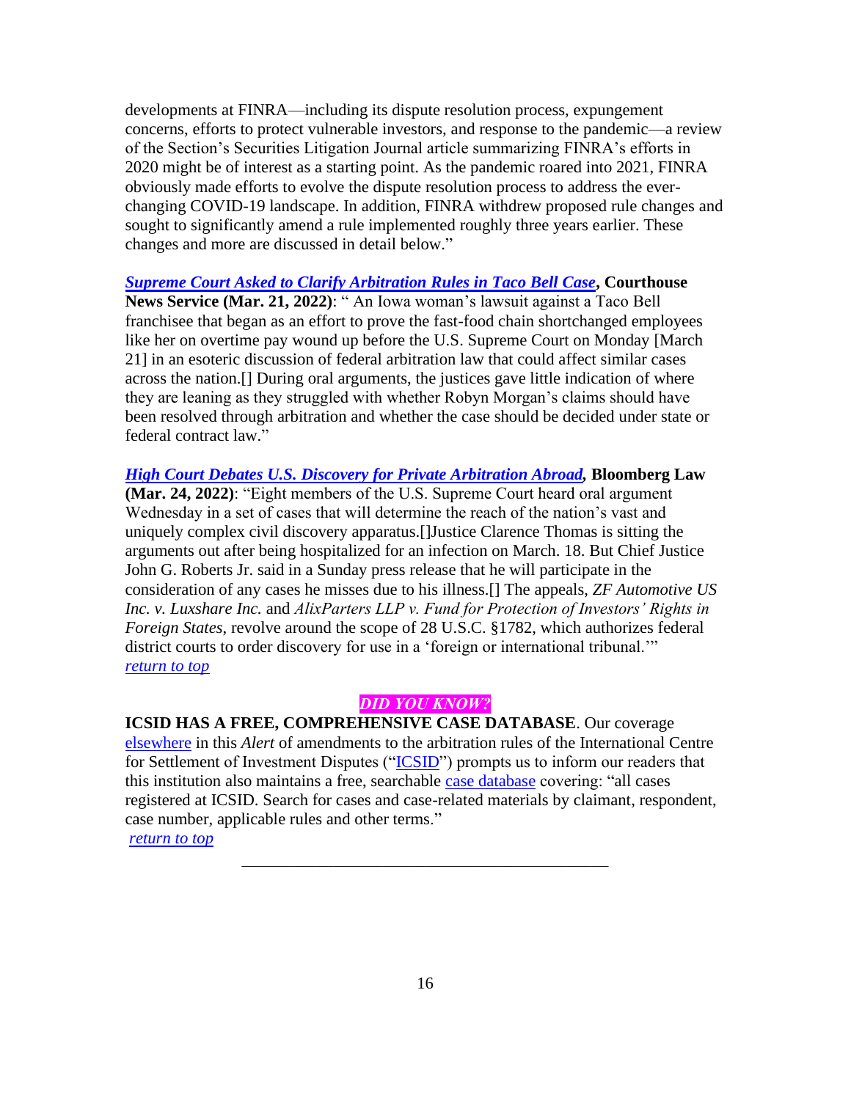developments at FINRA—including its dispute resolution process, expungement concerns, efforts to protect vulnerable investors, and response to the pandemic—a review of the Section's Securities Litigation Journal article summarizing FINRA's efforts in 2020 might be of interest as a starting point. As the pandemic roared into 2021, FINRA obviously made efforts to evolve the dispute resolution process to address the everchanging COVID-19 landscape. In addition, FINRA withdrew proposed rule changes and sought to significantly amend a rule implemented roughly three years earlier. These changes and more are discussed in detail below."

*[Supreme Court Asked to Clarify Arbitration Rules in Taco Bell Case](https://www.courthousenews.com/supreme-court-asked-to-clarify-arbitration-rules-in-taco-bell-case/)***, Courthouse News Service (Mar. 21, 2022)**: " An Iowa woman's lawsuit against a Taco Bell franchisee that began as an effort to prove the fast-food chain shortchanged employees like her on overtime pay wound up before the U.S. Supreme Court on Monday [March 21] in an esoteric discussion of federal arbitration law that could affect similar cases across the nation.[] During oral arguments, the justices gave little indication of where they are leaning as they struggled with whether Robyn Morgan's claims should have been resolved through arbitration and whether the case should be decided under state or federal contract law."

*[High Court Debates U.S. Discovery for Private Arbitration Abroad,](https://news.bloomberglaw.com/us-law-week/high-court-debates-u-s-discovery-for-private-arbitration-abroad)* **Bloomberg Law (Mar. 24, 2022)**: "Eight members of the U.S. Supreme Court heard oral argument Wednesday in a set of cases that will determine the reach of the nation's vast and uniquely complex civil discovery apparatus.[]Justice Clarence Thomas is sitting the arguments out after being hospitalized for an infection on March. 18. But Chief Justice John G. Roberts Jr. said in a Sunday press release that he will participate in the consideration of any cases he misses due to his illness.[] The appeals, *ZF Automotive US Inc. v. Luxshare Inc.* and *AlixParters LLP v. Fund for Protection of Investors' Rights in Foreign States*, revolve around the scope of 28 U.S.C. §1782, which authorizes federal district courts to order discovery for use in a 'foreign or international tribunal.'" *[return to top](#page-0-0)*

## *DID YOU KNOW?*

<span id="page-15-0"></span>**ICSID HAS A FREE, COMPREHENSIVE CASE DATABASE**. Our coverage elsewhere in this *Alert* of amendments to the arbitration rules of the International Centre for Settlement of Investment Disputes (["ICSID"](https://icsid.worldbank.org/en/)) prompts us to inform our readers that this institution also maintains a free, searchable [case database](https://icsid.worldbank.org/cases) covering: "all cases registered at ICSID. Search for cases and case-related materials by claimant, respondent, case number, applicable rules and other terms." *[return to top](#page-0-0)*